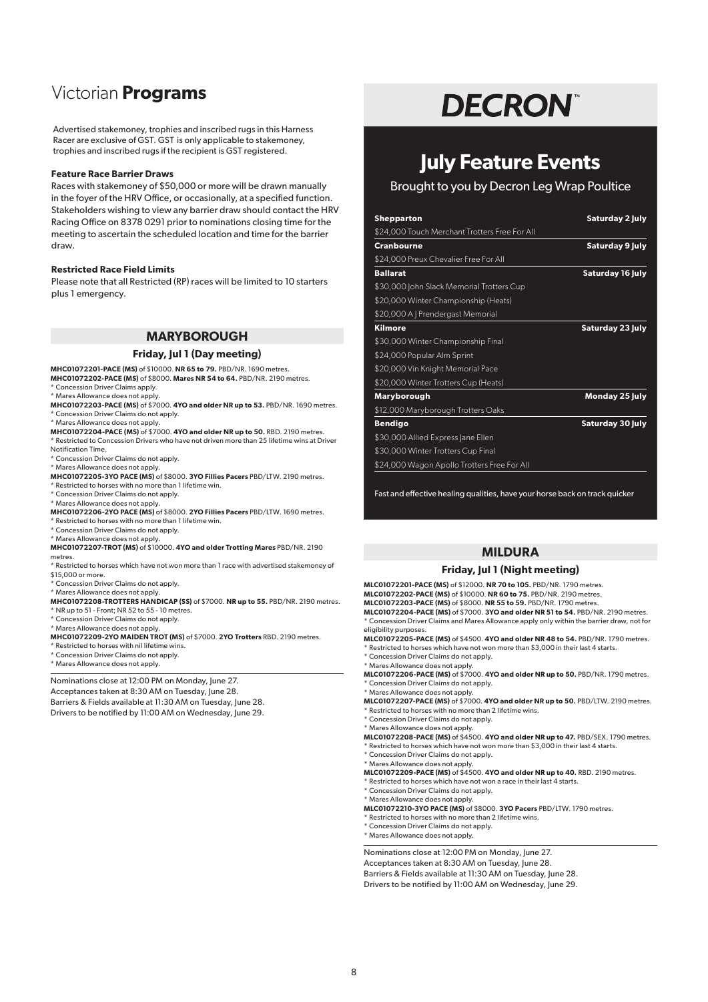## Victorian **Programs**

Advertised stakemoney, trophies and inscribed rugs in this Harness Racer are exclusive of GST. GST is only applicable to stakemoney, trophies and inscribed rugs if the recipient is GST registered.

## **Feature Race Barrier Draws**

Races with stakemoney of \$50,000 or more will be drawn manually in the foyer of the HRV Office, or occasionally, at a specified function. Stakeholders wishing to view any barrier draw should contact the HRV Racing Office on 8378 0291 prior to nominations closing time for the meeting to ascertain the scheduled location and time for the barrier draw.

#### **Restricted Race Field Limits**

Please note that all Restricted (RP) races will be limited to 10 starters plus 1 emergency.

## **MARYBOROUGH**

#### **Friday, Jul 1 (Day meeting)**

**MHC01072201-PACE (MS)** of \$10000. **NR 65 to 79.** PBD/NR. 1690 metres.

**MHC01072202-PACE (MS)** of \$8000. **Mares NR 54 to 64.** PBD/NR. 2190 metres. \* Concession Driver Claims apply.

\* Mares Allowance does not apply.

- **MHC01072203-PACE (MS)** of \$7000. **4YO and older NR up to 53.** PBD/NR. 1690 metres. \* Concession Driver Claims do not apply.
- \* Mares Allowance does not apply. **MHC01072204-PACE (MS)** of \$7000. **4YO and older NR up to 50.** RBD. 2190 metres.

\* Restricted to Concession Drivers who have not driven more than 25 lifetime wins at Driver Notification Time. \* Concession Driver Claims do not apply.

- \* Mares Allowance does not apply.
- **MHC01072205-3YO PACE (MS)** of \$8000. **3YO Fillies Pacers** PBD/LTW. 2190 metres.
- \* Restricted to horses with no more than 1 lifetime win.

\* Concession Driver Claims do not apply.

- \* Mares Allowance does not apply.
- **MHC01072206-2YO PACE (MS)** of \$8000. **2YO Fillies Pacers** PBD/LTW. 1690 metres. \* Restricted to horses with no more than 1 lifetime win.
- \* Concession Driver Claims do not apply.
- \* Mares Allowance does not apply.

**MHC01072207-TROT (MS)** of \$10000. **4YO and older Trotting Mares** PBD/NR. 2190 metres.

- \* Restricted to horses which have not won more than 1 race with advertised stakemoney of \$15,000 or more.
- \* Concession Driver Claims do not apply.
- \* Mares Allowance does not apply.

**MHC01072208-TROTTERS HANDICAP (SS)** of \$7000. **NR up to 55.** PBD/NR. 2190 metres. \* NR up to 51 - Front; NR 52 to 55 - 10 metres.

\* Concession Driver Claims do not apply.

\* Mares Allowance does not apply.

- **MHC01072209-2YO MAIDEN TROT (MS)** of \$7000. **2YO Trotters** RBD. 2190 metres.
- \* Restricted to horses with nil lifetime wins.
- \* Concession Driver Claims do not apply.
- \* Mares Allowance does not apply.

Nominations close at 12:00 PM on Monday, June 27. Acceptances taken at 8:30 AM on Tuesday, June 28. Barriers & Fields available at 11:30 AM on Tuesday, June 28. Drivers to be notified by 11:00 AM on Wednesday, June 29.

# **DECRON**

## **July Feature Events**

Brought to you by Decron Leg Wrap Poultice

| Shepparton<br>\$24,000 Touch Merchant Trotters Free For All | Saturday 2 July         |
|-------------------------------------------------------------|-------------------------|
|                                                             |                         |
| \$24,000 Preux Chevalier Free For All                       |                         |
| <b>Ballarat</b>                                             | <b>Saturday 16 July</b> |
| \$30,000 John Slack Memorial Trotters Cup                   |                         |
| \$20,000 Winter Championship (Heats)                        |                         |
| \$20,000 A   Prendergast Memorial                           |                         |
| Kilmore                                                     | Saturday 23 July        |
| \$30,000 Winter Championship Final                          |                         |
| \$24,000 Popular Alm Sprint                                 |                         |
| \$20,000 Vin Knight Memorial Pace                           |                         |
| \$20,000 Winter Trotters Cup (Heats)                        |                         |
| Maryborough                                                 | Monday 25 July          |
| \$12,000 Maryborough Trotters Oaks                          |                         |
| Bendigo                                                     | Saturday 30 July        |
| \$30,000 Allied Express Jane Ellen                          |                         |
| \$30,000 Winter Trotters Cup Final                          |                         |
| \$24,000 Wagon Apollo Trotters Free For All                 |                         |

Fast and effective healing qualities, have your horse back on track quicker

## **MILDURA**

#### **Friday, Jul 1 (Night meeting)**

**MLC01072201-PACE (MS)** of \$12000. **NR 70 to 105.** PBD/NR. 1790 metres. **MLC01072202-PACE (MS)** of \$10000. **NR 60 to 75.** PBD/NR. 2190 metres. **MLC01072203-PACE (MS)** of \$8000. **NR 55 to 59.** PBD/NR. 1790 metres. **MLC01072204-PACE (MS)** of \$7000. **3YO and older NR 51 to 54.** PBD/NR. 2190 metres. \* Concession Driver Claims and Mares Allowance apply only within the barrier draw, not for

eligibility purposes. **MLC01072205-PACE (MS)** of \$4500. **4YO and older NR 48 to 54.** PBD/NR. 1790 metres.

- \* Restricted to horses which have not won more than \$3,000 in their last 4 starts.
- \* Concession Driver Claims do not apply. \* Mares Allowance does not apply.

**MLC01072206-PACE (MS)** of \$7000. **4YO and older NR up to 50.** PBD/NR. 1790 metres. \* Concession Driver Claims do not apply.

\* Mares Allowance does not apply.

**MLC01072207-PACE (MS)** of \$7000. **4YO and older NR up to 50.** PBD/LTW. 2190 metres. \* Restricted to horses with no more than 2 lifetime wins.

- \* Concession Driver Claims do not apply.
- \* Mares Allowance does not apply.

**MLC01072208-PACE (MS)** of \$4500. **4YO and older NR up to 47.** PBD/SEX. 1790 metres. \* Restricted to horses which have not won more than \$3,000 in their last 4 starts.

- \* Concession Driver Claims do not apply.
- \* Mares Allowance does not apply. **MLC01072209-PACE (MS)** of \$4500. **4YO and older NR up to 40.** RBD. 2190 metres.
- Restricted to horses which have not won a race in their last 4 starts.
- \* Concession Driver Claims do not apply.
- \* Mares Allowance does not apply. **MLC01072210-3YO PACE (MS)** of \$8000. **3YO Pacers** PBD/LTW. 1790 metres.
- \* Restricted to horses with no more than 2 lifetime wins.
- \* Concession Driver Claims do not apply.
- \* Mares Allowance does not apply.

Nominations close at 12:00 PM on Monday, June 27.

Acceptances taken at 8:30 AM on Tuesday, June 28.

Barriers & Fields available at 11:30 AM on Tuesday, June 28.

Drivers to be notified by 11:00 AM on Wednesday, June 29.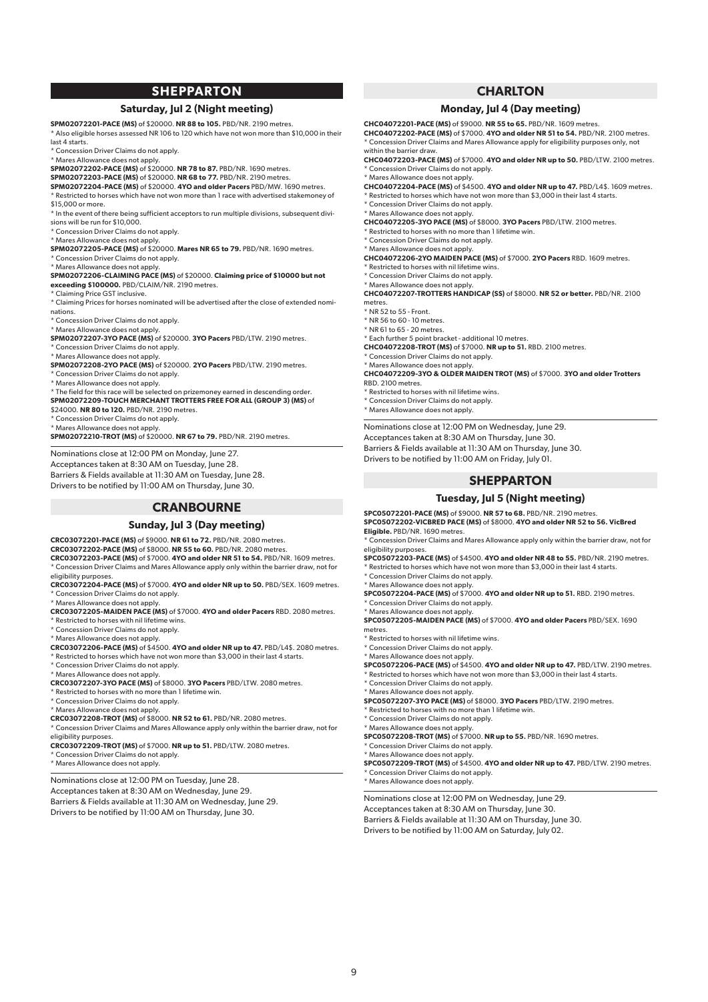## **SHEPPARTON**

#### **Saturday, Jul 2 (Night meeting)**

**SPM02072201-PACE (MS)** of \$20000. **NR 88 to 105.** PBD/NR. 2190 metres.

\* Also eligible horses assessed NR 106 to 120 which have not won more than \$10,000 in their  $last A state$ 

\* Concession Driver Claims do not apply.

\* Mares Allowance does not apply. **SPM02072202-PACE (MS)** of \$20000. **NR 78 to 87.** PBD/NR. 1690 metres.

**SPM02072203-PACE (MS)** of \$20000. **NR 68 to 77.** PBD/NR. 2190 metres.

**SPM02072204-PACE (MS)** of \$20000. **4YO and older Pacers** PBD/MW. 1690 metres.

\* Restricted to horses which have not won more than 1 race with advertised stakemoney of \$15,000 or more.

\* In the event of there being sufficient acceptors to run multiple divisions, subsequent divisions will be run for \$10,000.

- \* Concession Driver Claims do not apply.
- \* Mares Allowance does not apply.
- **SPM02072205-PACE (MS)** of \$20000. **Mares NR 65 to 79.** PBD/NR. 1690 metres. \* Concession Driver Claims do not apply.

\* Mares Allowance does not apply.

**SPM02072206-CLAIMING PACE (MS)** of \$20000. **Claiming price of \$10000 but not exceeding \$100000.** PBD/CLAIM/NR. 2190 metres.

\* Claiming Price GST inclusive.

\* Claiming Prices for horses nominated will be advertised after the close of extended nominations.

\* Concession Driver Claims do not apply.

\* Mares Allowance does not apply. **SPM02072207-3YO PACE (MS)** of \$20000. **3YO Pacers** PBD/LTW. 2190 metres. \* Concession Driver Claims do not apply.

\* Mares Allowance does not apply.

**SPM02072208-2YO PACE (MS)** of \$20000. **2YO Pacers** PBD/LTW. 2190 metres.

\* Concession Driver Claims do not apply.

\* Mares Allowance does not apply.

\* The field for this race will be selected on prizemoney earned in descending order. **SPM02072209-TOUCH MERCHANT TROTTERS FREE FOR ALL (GROUP 3) (MS)** of

\$24000. **NR 80 to 120.** PBD/NR. 2190 metres.

\* Concession Driver Claims do not apply. \* Mares Allowance does not apply.

**SPM02072210-TROT (MS)** of \$20000. **NR 67 to 79.** PBD/NR. 2190 metres.

Nominations close at 12:00 PM on Monday, June 27. Acceptances taken at 8:30 AM on Tuesday, June 28.

Barriers & Fields available at 11:30 AM on Tuesday, June 28. Drivers to be notified by 11:00 AM on Thursday, June 30.

## **CRANBOURNE**

## **Sunday, Jul 3 (Day meeting)**

**CRC03072201-PACE (MS)** of \$9000. **NR 61 to 72.** PBD/NR. 2080 metres.

**CRC03072202-PACE (MS)** of \$8000. **NR 55 to 60.** PBD/NR. 2080 metres.

**CRC03072203-PACE (MS)** of \$7000. **4YO and older NR 51 to 54.** PBD/NR. 1609 metres. \* Concession Driver Claims and Mares Allowance apply only within the barrier draw, not for eligibility purposes.

**CRC03072204-PACE (MS)** of \$7000. **4YO and older NR up to 50.** PBD/SEX. 1609 metres. \* Concession Driver Claims do not apply.

\* Mares Allowance does not apply.

**CRC03072205-MAIDEN PACE (MS)** of \$7000. **4YO and older Pacers** RBD. 2080 metres. \* Restricted to horses with nil lifetime wins.

\* Concession Driver Claims do not apply.

\* Mares Allowance does not apply.

**CRC03072206-PACE (MS)** of \$4500. **4YO and older NR up to 47.** PBD/L4\$. 2080 metres. \* Restricted to horses which have not won more than \$3,000 in their last 4 starts.

\* Concession Driver Claims do not apply.

\* Mares Allowance does not apply.

**CRC03072207-3YO PACE (MS)** of \$8000. **3YO Pacers** PBD/LTW. 2080 metres.

\* Restricted to horses with no more than 1 lifetime win.

\* Concession Driver Claims do not apply.

\* Mares Allowance does not apply.

**CRC03072208-TROT (MS)** of \$8000. **NR 52 to 61.** PBD/NR. 2080 metres. \* Concession Driver Claims and Mares Allowance apply only within the barrier draw, not for

eligibility purposes. **CRC03072209-TROT (MS)** of \$7000. **NR up to 51.** PBD/LTW. 2080 metres.

Concession Driver Claims do not apply. \* Mares Allowance does not apply.

Nominations close at 12:00 PM on Tuesday, June 28. Acceptances taken at 8:30 AM on Wednesday, June 29. Barriers & Fields available at 11:30 AM on Wednesday, June 29. Drivers to be notified by 11:00 AM on Thursday, June 30.

## **CHARLTON**

## **Monday, Jul 4 (Day meeting)**

**CHC04072201-PACE (MS)** of \$9000. **NR 55 to 65.** PBD/NR. 1609 metres. **CHC04072202-PACE (MS)** of \$7000. **4YO and older NR 51 to 54.** PBD/NR. 2100 metres. \* Concession Driver Claims and Mares Allowance apply for eligibility purposes only, not within the barrier draw.

**CHC04072203-PACE (MS)** of \$7000. **4YO and older NR up to 50.** PBD/LTW. 2100 metres. \* Concession Driver Claims do not apply.

\* Mares Allowance does not apply.

**CHC04072204-PACE (MS)** of \$4500. **4YO and older NR up to 47.** PBD/L4\$. 1609 metres.  $*$  Restricted to horses which have not won more than \$3,000 in their last 4 starts.

\* Concession Driver Claims do not apply.

\* Mares Allowance does not apply. **CHC04072205-3YO PACE (MS)** of \$8000. **3YO Pacers** PBD/LTW. 2100 metres.

\* Restricted to horses with no more than 1 lifetime win.

\* Concession Driver Claims do not apply.

\* Mares Allowance does not apply. **CHC04072206-2YO MAIDEN PACE (MS)** of \$7000. **2YO Pacers** RBD. 1609 metres. \* Restricted to horses with nil lifetime wins.

\* Concession Driver Claims do not apply.

\* Mares Allowance does not apply.

**CHC04072207-TROTTERS HANDICAP (SS)** of \$8000. **NR 52 or better.** PBD/NR. 2100 metres. \* NR 52 to 55 - Front.

\* NR 56 to 60 - 10 metres.

\* NR 61 to 65 - 20 metres.

\* Each further 5 point bracket - additional 10 metres. **CHC04072208-TROT (MS)** of \$7000. **NR up to 51.** RBD. 2100 metres.

\* Concession Driver Claims do not apply.

\* Mares Allowance does not apply.

**CHC04072209-3YO & OLDER MAIDEN TROT (MS)** of \$7000. **3YO and older Trotters**

RBD. 2100 metres.

\* Restricted to horses with nil lifetime wins.

\* Concession Driver Claims do not apply. \* Mares Allowance does not apply.

Nominations close at 12:00 PM on Wednesday, June 29. Acceptances taken at 8:30 AM on Thursday, June 30. Barriers & Fields available at 11:30 AM on Thursday, June 30. Drivers to be notified by 11:00 AM on Friday, July 01.

## **SHEPPARTON**

#### **Tuesday, Jul 5 (Night meeting)**

**SPC05072201-PACE (MS)** of \$9000. **NR 57 to 68.** PBD/NR. 2190 metres.

**SPC05072202-VICBRED PACE (MS)** of \$8000. **4YO and older NR 52 to 56. VicBred Eligible.** PBD/NR. 1690 metres.

\* Concession Driver Claims and Mares Allowance apply only within the barrier draw, not for eligibility purposes.

**SPC05072203-PACE (MS)** of \$4500. **4YO and older NR 48 to 55.** PBD/NR. 2190 metres. \* Restricted to horses which have not won more than \$3,000 in their last 4 starts.

\* Concession Driver Claims do not apply.

\* Mares Allowance does not apply. **SPC05072204-PACE (MS)** of \$7000. **4YO and older NR up to 51.** RBD. 2190 metres.

\* Concession Driver Claims do not apply. \* Mares Allowance does not apply.

**SPC05072205-MAIDEN PACE (MS)** of \$7000. **4YO and older Pacers** PBD/SEX. 1690 metres.

\* Restricted to horses with nil lifetime wins.

\* Concession Driver Claims do not apply. \* Mares Allowance does not apply.

**SPC05072206-PACE (MS)** of \$4500. **4YO and older NR up to 47.** PBD/LTW. 2190 metres.

**SPC05072209-TROT (MS)** of \$4500. **4YO and older NR up to 47.** PBD/LTW. 2190 metres.

\* Restricted to horses which have not won more than \$3,000 in their last 4 starts.

\* Concession Driver Claims do not apply.

\* Mares Allowance does not apply.

**SPC05072207-3YO PACE (MS)** of \$8000. **3YO Pacers** PBD/LTW. 2190 metres.

\* Restricted to horses with no more than 1 lifetime win.

Nominations close at 12:00 PM on Wednesday, June 29. Acceptances taken at 8:30 AM on Thursday, June 30. Barriers & Fields available at 11:30 AM on Thursday, June 30. Drivers to be notified by 11:00 AM on Saturday, July 02.

\* Concession Driver Claims do not apply.

\* Mares Allowance does not apply. **SPC05072208-TROT (MS)** of \$7000. **NR up to 55.** PBD/NR. 1690 metres. \* Concession Driver Claims do not apply.

\* Concession Driver Claims do not apply. \* Mares Allowance does not apply.

\* Mares Allowance does not apply.

9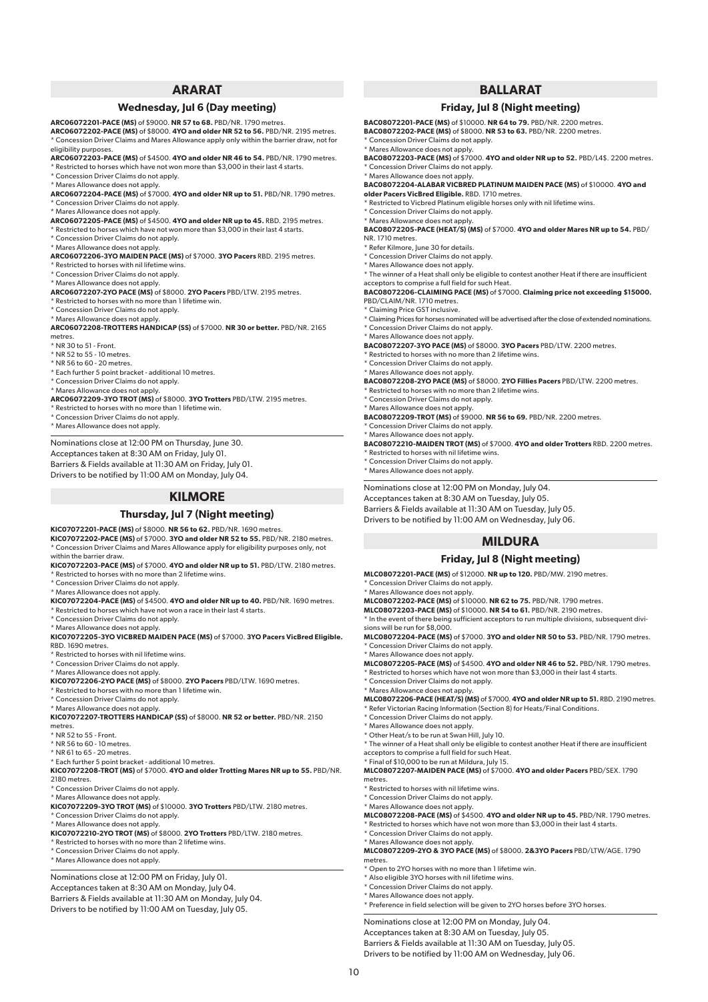## **ARARAT**

#### **Wednesday, Jul 6 (Day meeting)**

**ARC06072201-PACE (MS)** of \$9000. **NR 57 to 68.** PBD/NR. 1790 metres.

**ARC06072202-PACE (MS)** of \$8000. **4YO and older NR 52 to 56.** PBD/NR. 2195 metres. \* Concession Driver Claims and Mares Allowance apply only within the barrier draw, not for eligibility purposes.

**ARC06072203-PACE (MS)** of \$4500. **4YO and older NR 46 to 54.** PBD/NR. 1790 metres. \* Restricted to horses which have not won more than \$3,000 in their last 4 starts.

\* Concession Driver Claims do not apply.

\* Mares Allowance does not apply.

**ARC06072204-PACE (MS)** of \$7000. **4YO and older NR up to 51.** PBD/NR. 1790 metres. \* Concession Driver Claims do not apply.

\* Mares Allowance does not apply.

**ARC06072205-PACE (MS)** of \$4500. **4YO and older NR up to 45.** RBD. 2195 metres.

- \* Restricted to horses which have not won more than \$3,000 in their last 4 starts.
- \* Concession Driver Claims do not apply. \* Mares Allowance does not apply.

**ARC06072206-3YO MAIDEN PACE (MS)** of \$7000. **3YO Pacers** RBD. 2195 metres.

\* Restricted to horses with nil lifetime wins.

\* Concession Driver Claims do not apply.

\* Mares Allowance does not apply. **ARC06072207-2YO PACE (MS)** of \$8000. **2YO Pacers** PBD/LTW. 2195 metres.

Restricted to horses with no more than 1 lifetime win.

\* Concession Driver Claims do not apply. \* Mares Allowance does not apply.

**ARC06072208-TROTTERS HANDICAP (SS)** of \$7000. **NR 30 or better.** PBD/NR. 2165 metres.

\* NR 30 to 51 - Front.

\* NR 52 to 55 - 10 metres.

\* NR 56 to 60 - 20 metres.

\* Each further 5 point bracket - additional 10 metres.

\* Concession Driver Claims do not apply.

\* Mares Allowance does not apply.

**ARC06072209-3YO TROT (MS)** of \$8000. **3YO Trotters** PBD/LTW. 2195 metres.

Restricted to horses with no more than 1 lifetime win.

\* Concession Driver Claims do not apply.

\* Mares Allowance does not apply.

Nominations close at 12:00 PM on Thursday, June 30. Acceptances taken at 8:30 AM on Friday, July 01. Barriers & Fields available at 11:30 AM on Friday, July 01.

Drivers to be notified by 11:00 AM on Monday, July 04.

## **KILMORE**

#### **Thursday, Jul 7 (Night meeting)**

**KIC07072201-PACE (MS)** of \$8000. **NR 56 to 62.** PBD/NR. 1690 metres.

**KIC07072202-PACE (MS)** of \$7000. **3YO and older NR 52 to 55.** PBD/NR. 2180 metres. \* Concession Driver Claims and Mares Allowance apply for eligibility purposes only, not within the barrier draw.

**KIC07072203-PACE (MS)** of \$7000. **4YO and older NR up to 51.** PBD/LTW. 2180 metres. Restricted to horses with no more than 2 lifetime wins.

\* Concession Driver Claims do not apply.

\* Mares Allowance does not apply.

**KIC07072204-PACE (MS)** of \$4500. **4YO and older NR up to 40.** PBD/NR. 1690 metres.

\* Restricted to horses which have not won a race in their last 4 starts. \* Concession Driver Claims do not apply.

\* Mares Allowance does not apply.

**KIC07072205-3YO VICBRED MAIDEN PACE (MS)** of \$7000. **3YO Pacers VicBred Eligible.**

RBD. 1690 metres.

Restricted to horses with nil lifetime wins. \* Concession Driver Claims do not apply.

\* Mares Allowance does not apply.

**KIC07072206-2YO PACE (MS)** of \$8000. **2YO Pacers** PBD/LTW. 1690 metres.

\* Restricted to horses with no more than 1 lifetime win.

\* Concession Driver Claims do not apply.

\* Mares Allowance does not apply.

**KIC07072207-TROTTERS HANDICAP (SS)** of \$8000. **NR 52 or better.** PBD/NR. 2150 metres

 $*$  NR 52 to 55 - Front.

\* NR 56 to 60 - 10 metres. \* NR 61 to 65 - 20 metres.

\* Each further 5 point bracket - additional 10 metres.

**KIC07072208-TROT (MS)** of \$7000. **4YO and older Trotting Mares NR up to 55.** PBD/NR. 2180 metres.

Concession Driver Claims do not apply.

\* Mares Allowance does not apply.

**KIC07072209-3YO TROT (MS)** of \$10000. **3YO Trotters** PBD/LTW. 2180 metres.

\* Concession Driver Claims do not apply.

\* Mares Allowance does not apply. **KIC07072210-2YO TROT (MS)** of \$8000. **2YO Trotters** PBD/LTW. 2180 metres.

Restricted to horses with no more than 2 lifetime wins.

\* Concession Driver Claims do not apply.

\* Mares Allowance does not apply.

Nominations close at 12:00 PM on Friday, July 01.

Acceptances taken at 8:30 AM on Monday, July 04.

Barriers & Fields available at 11:30 AM on Monday, July 04. Drivers to be notified by 11:00 AM on Tuesday, July 05.

## **BALLARAT**

#### **Friday, Jul 8 (Night meeting)**

**BAC08072201-PACE (MS)** of \$10000. **NR 64 to 79.** PBD/NR. 2200 metres. **BAC08072202-PACE (MS)** of \$8000. **NR 53 to 63.** PBD/NR. 2200 metres. \* Concession Driver Claims do not apply.

\* Mares Allowance does not apply. **BAC08072203-PACE (MS)** of \$7000. **4YO and older NR up to 52.** PBD/L4\$. 2200 metres. \* Concession Driver Claims do not apply.

\* Mares Allowance does not apply. **BAC08072204-ALABAR VICBRED PLATINUM MAIDEN PACE (MS)** of \$10000. **4YO and** 

**older Pacers VicBred Eligible.** RBD. 1710 metres. \* Restricted to Vicbred Platinum eligible horses only with nil lifetime wins.

\* Concession Driver Claims do not apply.

\* Mares Allowance does not apply.

**BAC08072205-PACE (HEAT/S) (MS)** of \$7000. **4YO and older Mares NR up to 54.** PBD/ NR. 1710 metres.

\* Refer Kilmore, June 30 for details.

\* Concession Driver Claims do not apply.

\* Mares Allowance does not apply.

\* The winner of a Heat shall only be eligible to contest another Heat if there are insufficient

acceptors to comprise a full field for such Heat. **BAC08072206-CLAIMING PACE (MS)** of \$7000. **Claiming price not exceeding \$15000.** PBD/CLAIM/NR. 1710 metres.

\* Claiming Price GST inclusive.

\* Claiming Prices for horses nominated will be advertised after the close of extended nominations. \* Concession Driver Claims do not apply.

\* Mares Allowance does not apply.

**BAC08072207-3YO PACE (MS)** of \$8000. **3YO Pacers** PBD/LTW. 2200 metres.

\* Restricted to horses with no more than 2 lifetime wins.

\* Concession Driver Claims do not apply.

\* Mares Allowance does not apply. **BAC08072208-2YO PACE (MS)** of \$8000. **2YO Fillies Pacers** PBD/LTW. 2200 metres. \* Restricted to horses with no more than 2 lifetime wins.

\* Concession Driver Claims do not apply.

\* Mares Allowance does not apply.

**BAC08072209-TROT (MS)** of \$9000. **NR 56 to 69.** PBD/NR. 2200 metres.

\* Concession Driver Claims do not apply. \* Mares Allowance does not apply.

**BAC08072210-MAIDEN TROT (MS)** of \$7000. **4YO and older Trotters** RBD. 2200 metres.

\* Restricted to horses with nil lifetime wins. \* Concession Driver Claims do not apply.

\* Mares Allowance does not apply.

\* Concession Driver Claims do not apply. \* Mares Allowance does not apply.

\* Concession Driver Claims do not apply. \* Mares Allowance does not apply.

\* Concession Driver Claims do not apply.

\* Concession Driver Claims do not apply. \* Mares Allowance does not apply. \* Other Heat/s to be run at Swan Hill, July 10.

acceptors to comprise a full field for such Heat. \* Final of \$10,000 to be run at Mildura, July 15.

 $*$  Restricted to horses with nil lifetime wins. \* Concession Driver Claims do not apply. \* Mares Allowance does not apply.

\* Concession Driver Claims do not apply. \* Mares Allowance does not apply.

\* Open to 2YO horses with no more than 1 lifetime win. \* Also eligible 3YO horses with nil lifetime wins. \* Concession Driver Claims do not apply. \* Mares Allowance does not apply.

Nominations close at 12:00 PM on Monday, July 04. Acceptances taken at 8:30 AM on Tuesday, July 05. Barriers & Fields available at 11:30 AM on Tuesday, July 05. Drivers to be notified by 11:00 AM on Wednesday, July 06.

sions will be run for \$8,000.

10

metres.

metres.

Nominations close at 12:00 PM on Monday, July 04.

Acceptances taken at 8:30 AM on Tuesday, July 05. Barriers & Fields available at 11:30 AM on Tuesday, July 05. Drivers to be notified by 11:00 AM on Wednesday, July 06.

## **MILDURA Friday, Jul 8 (Night meeting)**

\* In the event of there being sufficient acceptors to run multiple divisions, subsequent divi-

**MLC08072204-PACE (MS)** of \$7000. **3YO and older NR 50 to 53.** PBD/NR. 1790 metres.

**MLC08072205-PACE (MS)** of \$4500. **4YO and older NR 46 to 52.** PBD/NR. 1790 metres. \* Restricted to horses which have not won more than \$3,000 in their last 4 starts.

\* Mares Allowance does not apply. **MLC08072206-PACE (HEAT/S) (MS)** of \$7000. **4YO and older NR up to 51.** RBD. 2190 metres.

\* The winner of a Heat shall only be eligible to contest another Heat if there are insufficient

**MLC08072207-MAIDEN PACE (MS)** of \$7000. **4YO and older Pacers** PBD/SEX. 1790

**MLC08072208-PACE (MS)** of \$4500. **4YO and older NR up to 45.** PBD/NR. 1790 metres. \* Restricted to horses which have not won more than \$3,000 in their last 4 starts.

**MLC08072209-2YO & 3YO PACE (MS)** of \$8000. **2&3YO Pacers** PBD/LTW/AGE. 1790

\* Preference in field selection will be given to 2YO horses before 3YO horses.

**MLC08072201-PACE (MS)** of \$12000. **NR up to 120.** PBD/MW. 2190 metres.

**MLC08072202-PACE (MS)** of \$10000. **NR 62 to 75.** PBD/NR. 1790 metres. **MLC08072203-PACE (MS)** of \$10000. **NR 54 to 61.** PBD/NR. 2190 metres.

\* Refer Victorian Racing Information (Section 8) for Heats/Final Conditions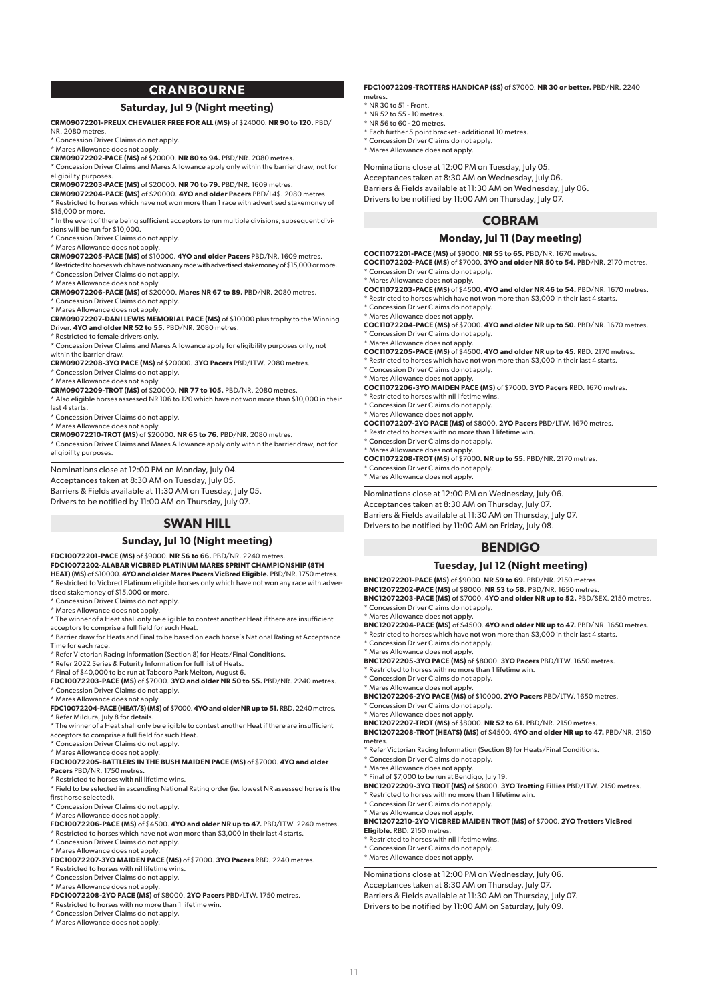## **CRANBOURNE**

#### **Saturday, Jul 9 (Night meeting)**

**CRM09072201-PREUX CHEVALIER FREE FOR ALL (MS)** of \$24000. **NR 90 to 120.** PBD/ NR. 2080 metres.

\* Concession Driver Claims do not apply.

\* Mares Allowance does not apply. **CRM09072202-PACE (MS)** of \$20000. **NR 80 to 94.** PBD/NR. 2080 metres.

\* Concession Driver Claims and Mares Allowance apply only within the barrier draw, not for eligibility purposes.

**CRM09072203-PACE (MS)** of \$20000. **NR 70 to 79.** PBD/NR. 1609 metres.

**CRM09072204-PACE (MS)** of \$20000. **4YO and older Pacers** PBD/L4\$. 2080 metres.  $^\star$  Restricted to horses which have not won more than 1 race with advertised stakemoney of \$15,000 or more.

\* In the event of there being sufficient acceptors to run multiple divisions, subsequent divisions will be run for \$10,000.

\* Concession Driver Claims do not apply.

\* Mares Allowance does not apply.

**CRM09072205-PACE (MS)** of \$10000. **4YO and older Pacers** PBD/NR. 1609 metres.

\* Restricted to horses which have not won any race with advertised stakemoney of \$15,000 or more. \* Concession Driver Claims do not apply.

\* Mares Allowance does not apply. **CRM09072206-PACE (MS)** of \$20000. **Mares NR 67 to 89.** PBD/NR. 2080 metres.

Concession Driver Claims do not apply.

\* Mares Allowance does not apply. **CRM09072207-DANI LEWIS MEMORIAL PACE (MS)** of \$10000 plus trophy to the Winning Driver. **4YO and older NR 52 to 55.** PBD/NR. 2080 metres.

\* Restricted to female drivers only.

\* Concession Driver Claims and Mares Allowance apply for eligibility purposes only, not within the barrier draw.

**CRM09072208-3YO PACE (MS)** of \$20000. **3YO Pacers** PBD/LTW. 2080 metres. \* Concession Driver Claims do not apply.

\* Mares Allowance does not apply.

#### **CRM09072209-TROT (MS)** of \$20000. **NR 77 to 105.** PBD/NR. 2080 metres.

\* Also eligible horses assessed NR 106 to 120 which have not won more than \$10,000 in their last 4 starts.

\* Concession Driver Claims do not apply.

\* Mares Allowance does not apply.

**CRM09072210-TROT (MS)** of \$20000. **NR 65 to 76.** PBD/NR. 2080 metres. \* Concession Driver Claims and Mares Allowance apply only within the barrier draw, not for eligibility purposes.

Nominations close at 12:00 PM on Monday, July 04. Acceptances taken at 8:30 AM on Tuesday, July 05. Barriers & Fields available at 11:30 AM on Tuesday, July 05. Drivers to be notified by 11:00 AM on Thursday, July 07.

## **SWAN HILL**

#### **Sunday, Jul 10 (Night meeting)**

**FDC10072201-PACE (MS)** of \$9000. **NR 56 to 66.** PBD/NR. 2240 metres. **FDC10072202-ALABAR VICBRED PLATINUM MARES SPRINT CHAMPIONSHIP (8TH HEAT) (MS)** of \$10000. **4YO and older Mares Pacers VicBred Eligible.** PBD/NR. 1750 metres. \* Restricted to Vicbred Platinum eligible horses only which have not won any race with adver-

tised stakemoney of \$15,000 or more.

\* Concession Driver Claims do not apply.

\* Mares Allowance does not apply.

\* The winner of a Heat shall only be eligible to contest another Heat if there are insufficient

acceptors to comprise a full field for such Heat.

\* Barrier draw for Heats and Final to be based on each horse's National Rating at Acceptance Time for each race.

\* Refer Victorian Racing Information (Section 8) for Heats/Final Conditions.

\* Refer 2022 Series & Futurity Information for full list of Heats.

\* Final of \$40,000 to be run at Tabcorp Park Melton, August 6. **FDC10072203-PACE (MS)** of \$7000. **3YO and older NR 50 to 55.** PBD/NR. 2240 metres. \* Concession Driver Claims do not apply.

\* Mares Allowance does not apply.

**FDC10072204-PACE (HEAT/S) (MS)** of \$7000. **4YO and older NR up to 51.** RBD. 2240 metres.

\* Refer Mildura, July 8 for details.

\* The winner of a Heat shall only be eligible to contest another Heat if there are insufficient acceptors to comprise a full field for such Heat.

\* Concession Driver Claims do not apply.

## \* Mares Allowance does not apply. **FDC10072205-BATTLERS IN THE BUSH MAIDEN PACE (MS)** of \$7000. **4YO and older Pacers** PBD/NR. 1750 metres.

\* Restricted to horses with nil lifetime wins.

\* Field to be selected in ascending National Rating order (ie. lowest NR assessed horse is the first horse selected).

\* Concession Driver Claims do not apply.

\* Mares Allowance does not apply.

**FDC10072206-PACE (MS)** of \$4500. **4YO and older NR up to 47.** PBD/LTW. 2240 metres. \* Restricted to horses which have not won more than \$3,000 in their last 4 starts.

\* Concession Driver Claims do not apply.

\* Mares Allowance does not apply.

**FDC10072207-3YO MAIDEN PACE (MS)** of \$7000. **3YO Pacers** RBD. 2240 metres.

\* Restricted to horses with nil lifetime wins.

\* Concession Driver Claims do not apply.

\* Mares Allowance does not apply. **FDC10072208-2YO PACE (MS)** of \$8000. **2YO Pacers** PBD/LTW. 1750 metres. \* Restricted to horses with no more than 1 lifetime win.

\* Concession Driver Claims do not apply.

\* Mares Allowance does not apply.

#### **FDC10072209-TROTTERS HANDICAP (SS)** of \$7000. **NR 30 or better.** PBD/NR. 2240 metres.

 $*$  NR 30 to 51 - Front.

- \* NR 52 to 55 10 metres.
- \* NR 56 to 60 20 metres.
- \* Each further 5 point bracket additional 10 metres. \* Concession Driver Claims do not apply.

\* Mares Allowance does not apply.

Nominations close at 12:00 PM on Tuesday, July 05. Acceptances taken at 8:30 AM on Wednesday, July 06. Barriers & Fields available at 11:30 AM on Wednesday, July 06. Drivers to be notified by 11:00 AM on Thursday, July 07.

## **COBRAM**

#### **Monday, Jul 11 (Day meeting)**

**COC11072201-PACE (MS)** of \$9000. **NR 55 to 65.** PBD/NR. 1670 metres. **COC11072202-PACE (MS)** of \$7000. **3YO and older NR 50 to 54.** PBD/NR. 2170 metres. \* Concession Driver Claims do not apply.

\* Mares Allowance does not apply.

**COC11072203-PACE (MS)** of \$4500. **4YO and older NR 46 to 54.** PBD/NR. 1670 metres. \* Restricted to horses which have not won more than \$3,000 in their last 4 starts.

\* Concession Driver Claims do not apply.

\* Mares Allowance does not apply.

**COC11072204-PACE (MS)** of \$7000. **4YO and older NR up to 50.** PBD/NR. 1670 metres. \* Concession Driver Claims do not apply.

\* Mares Allowance does not apply. **COC11072205-PACE (MS)** of \$4500. **4YO and older NR up to 45.** RBD. 2170 metres.

\* Restricted to horses which have not won more than \$3,000 in their last 4 starts. \* Concession Driver Claims do not apply.

\* Mares Allowance does not apply.

**COC11072206-3YO MAIDEN PACE (MS)** of \$7000. **3YO Pacers** RBD. 1670 metres. \* Restricted to horses with nil lifetime wins.

\* Concession Driver Claims do not apply.

\* Mares Allowance does not apply.

**COC11072207-2YO PACE (MS)** of \$8000. **2YO Pacers** PBD/LTW. 1670 metres.

\* Restricted to horses with no more than 1 lifetime win.

\* Concession Driver Claims do not apply.

\* Mares Allowance does not apply. **COC11072208-TROT (MS)** of \$7000. **NR up to 55.** PBD/NR. 2170 metres.

Concession Driver Claims do not apply. \* Mares Allowance does not apply.

Nominations close at 12:00 PM on Wednesday, July 06.

Acceptances taken at 8:30 AM on Thursday, July 07.

Barriers & Fields available at 11:30 AM on Thursday, July 07.

Drivers to be notified by 11:00 AM on Friday, July 08.

## **BENDIGO**

#### **Tuesday, Jul 12 (Night meeting)**

**BNC12072201-PACE (MS)** of \$9000. **NR 59 to 69.** PBD/NR. 2150 metres. **BNC12072202-PACE (MS)** of \$8000. **NR 53 to 58.** PBD/NR. 1650 metres. **BNC12072203-PACE (MS)** of \$7000. **4YO and older NR up to 52.** PBD/SEX. 2150 metres. \* Concession Driver Claims do not apply. \* Mares Allowance does not apply. **BNC12072204-PACE (MS)** of \$4500. **4YO and older NR up to 47.** PBD/NR. 1650 metres.

 $^{\star}$  Restricted to horses which have not won more than \$3,000 in their last 4 starts.

**BNC12072208-TROT (HEATS) (MS)** of \$4500. **4YO and older NR up to 47.** PBD/NR. 2150

\* Final of \$7,000 to be run at Bendigo, July 19. **BNC12072209-3YO TROT (MS)** of \$8000. **3YO Trotting Fillies** PBD/LTW. 2150 metres.

**BNC12072210-2YO VICBRED MAIDEN TROT (MS)** of \$7000. **2YO Trotters VicBred** 

\* Concession Driver Claims do not apply.

\* Concession Driver Claims do not apply. \* Mares Allowance does not apply.

\* Concession Driver Claims do not apply. \* Mares Allowance does not apply.

\* Concession Driver Claims do not apply. \* Mares Allowance does not apply.

\* Restricted to horses with nil lifetime wins. Concession Driver Claims do not apply. \* Mares Allowance does not apply.

**Eligible.** RBD. 2150 metres.

metres

\* Restricted to horses with no more than 1 lifetime win. \* Concession Driver Claims do not apply. \* Mares Allowance does not apply.

\* Restricted to horses with no more than 1 lifetime win.

Nominations close at 12:00 PM on Wednesday, July 06. Acceptances taken at 8:30 AM on Thursday, July 07. Barriers & Fields available at 11:30 AM on Thursday, July 07. Drivers to be notified by 11:00 AM on Saturday, July 09.

11

\* Mares Allowance does not apply. **BNC12072205-3YO PACE (MS)** of \$8000. **3YO Pacers** PBD/LTW. 1650 metres.

**BNC12072206-2YO PACE (MS)** of \$10000. **2YO Pacers** PBD/LTW. 1650 metres.

**BNC12072207-TROT (MS)** of \$8000. **NR 52 to 61.** PBD/NR. 2150 metres.

\* Refer Victorian Racing Information (Section 8) for Heats/Final Conditions.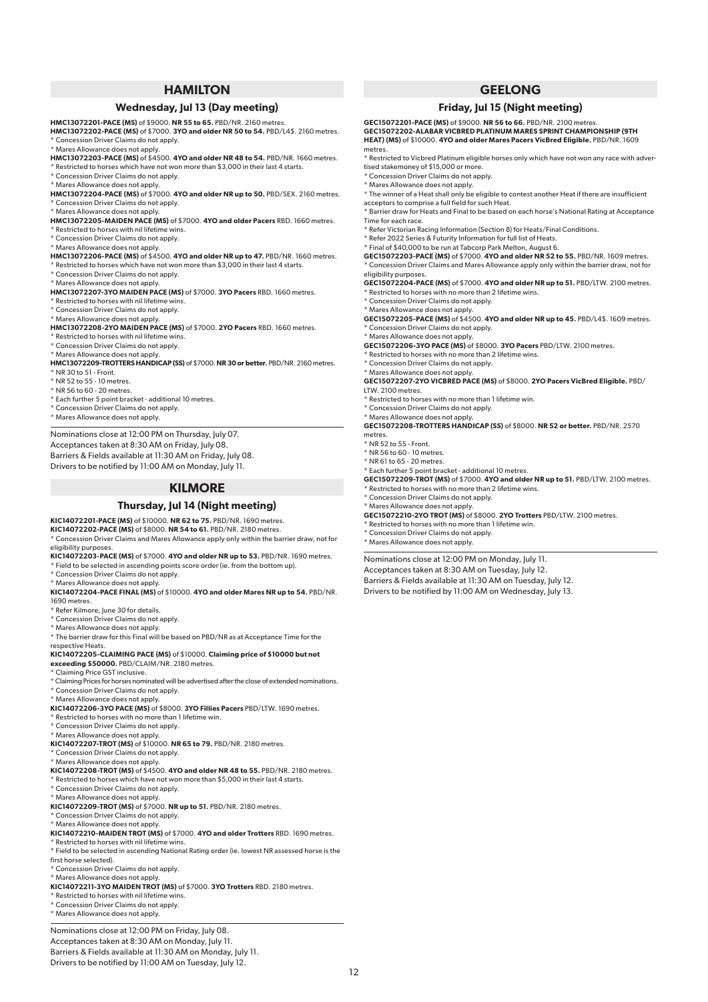## **HAMILTON**

## **Wednesday, Jul 13 (Day meeting)**

**HMC13072201-PACE (MS)** of \$9000. **NR 55 to 65.** PBD/NR. 2160 metres. **HMC13072202-PACE (MS)** of \$7000. **3YO and older NR 50 to 54.** PBD/L4\$. 2160 metres.

\* Concession Driver Claims do not apply.

\* Mares Allowance does not apply. **HMC13072203-PACE (MS)** of \$4500. **4YO and older NR 48 to 54.** PBD/NR. 1660 metres.

\* Restricted to horses which have not won more than \$3,000 in their last 4 starts.

\* Concession Driver Claims do not apply.

\* Mares Allowance does not apply.

**HMC13072204-PACE (MS)** of \$7000. **4YO and older NR up to 50.** PBD/SEX. 2160 metres. \* Concession Driver Claims do not apply.

\* Mares Allowance does not apply.

**HMC13072205-MAIDEN PACE (MS)** of \$7000. **4YO and older Pacers** RBD. 1660 metres.

- \* Restricted to horses with nil lifetime wins.
- \* Concession Driver Claims do not apply. \* Mares Allowance does not apply.

**HMC13072206-PACE (MS)** of \$4500. **4YO and older NR up to 47.** PBD/NR. 1660 metres. \* Restricted to horses which have not won more than \$3,000 in their last 4 starts.

- \* Concession Driver Claims do not apply.
- 

\* Mares Allowance does not apply. **HMC13072207-3YO MAIDEN PACE (MS)** of \$7000. **3YO Pacers** RBD. 1660 metres.

Restricted to horses with nil lifetime wins

\* Concession Driver Claims do not apply.

\* Mares Allowance does not apply. **HMC13072208-2YO MAIDEN PACE (MS)** of \$7000. **2YO Pacers** RBD. 1660 metres.

\* Restricted to horses with nil lifetime wins.

\* Concession Driver Claims do not apply.

\* Mares Allowance does not apply.

**HMC13072209-TROTTERS HANDICAP (SS)** of \$7000. **NR 30 or better.** PBD/NR. 2160 metres.  $*$  NR 30 to 51 - Front.

\* NR 52 to 55 - 10 metres.

\* NR 56 to 60 - 20 metres.

\* Each further 5 point bracket - additional 10 metres.

\* Concession Driver Claims do not apply.

\* Mares Allowance does not apply.

Nominations close at 12:00 PM on Thursday, July 07. Acceptances taken at 8:30 AM on Friday, July 08. Barriers & Fields available at 11:30 AM on Friday, July 08.

Drivers to be notified by 11:00 AM on Monday, July 11.

## **KILMORE**

#### **Thursday, Jul 14 (Night meeting)**

**KIC14072201-PACE (MS)** of \$10000. **NR 62 to 75.** PBD/NR. 1690 metres.

**KIC14072202-PACE (MS)** of \$8000. **NR 54 to 61.** PBD/NR. 2180 metres. \* Concession Driver Claims and Mares Allowance apply only within the barrier draw, not for eligibility purposes.

**KIC14072203-PACE (MS)** of \$7000. **4YO and older NR up to 53.** PBD/NR. 1690 metres.

\* Field to be selected in ascending points score order (ie. from the bottom up).

\* Concession Driver Claims do not apply.

\* Mares Allowance does not apply.

**KIC14072204-PACE FINAL (MS)** of \$10000. **4YO and older Mares NR up to 54.** PBD/NR. 1690 metres.

\* Refer Kilmore, June 30 for details.

\* Concession Driver Claims do not apply.

\* Mares Allowance does not apply.

\* The barrier draw for this Final will be based on PBD/NR as at Acceptance Time for the respective Heats.

**KIC14072205-CLAIMING PACE (MS)** of \$10000. **Claiming price of \$10000 but not exceeding \$50000.** PBD/CLAIM/NR. 2180 metres.

\* Claiming Price GST inclusive.

\* Claiming Prices for horses nominated will be advertised after the close of extended nominations. \* Concession Driver Claims do not apply.

\* Mares Allowance does not apply. **KIC14072206-3YO PACE (MS)** of \$8000. **3YO Fillies Pacers** PBD/LTW. 1690 metres.

\* Restricted to horses with no more than 1 lifetime win.

\* Concession Driver Claims do not apply.

\* Mares Allowance does not apply.

**KIC14072207-TROT (MS)** of \$10000. **NR 65 to 79.** PBD/NR. 2180 metres.

- \* Concession Driver Claims do not apply.
- \* Mares Allowance does not apply.

**KIC14072208-TROT (MS)** of \$4500. **4YO and older NR 48 to 55.** PBD/NR. 2180 metres. \* Restricted to horses which have not won more than \$5,000 in their last 4 starts.

\* Concession Driver Claims do not apply.

\* Mares Allowance does not apply.

**KIC14072209-TROT (MS)** of \$7000. **NR up to 51.** PBD/NR. 2180 metres.

\* Concession Driver Claims do not apply.

\* Mares Allowance does not apply.

**KIC14072210-MAIDEN TROT (MS)** of \$7000. **4YO and older Trotters** RBD. 1690 metres.

\* Restricted to horses with nil lifetime wins.

\* Field to be selected in ascending National Rating order (ie. lowest NR assessed horse is the first horse selected).

\* Concession Driver Claims do not apply.

\* Mares Allowance does not apply. **KIC14072211-3YO MAIDEN TROT (MS)** of \$7000. **3YO Trotters** RBD. 2180 metres.

- Restricted to horses with nil lifetime wins.
- \* Concession Driver Claims do not apply.

\* Mares Allowance does not apply.

Nominations close at 12:00 PM on Friday, July 08.

Acceptances taken at 8:30 AM on Monday, July 11. Barriers & Fields available at 11:30 AM on Monday, July 11.

Drivers to be notified by 11:00 AM on Tuesday, July 12.

## **GEELONG**

## **Friday, Jul 15 (Night meeting)**

**GEC15072201-PACE (MS)** of \$9000. **NR 56 to 66.** PBD/NR. 2100 metres. **GEC15072202-ALABAR VICBRED PLATINUM MARES SPRINT CHAMPIONSHIP (9TH HEAT) (MS)** of \$10000. **4YO and older Mares Pacers VicBred Eligible.** PBD/NR. 1609 metres.

\* Restricted to Vicbred Platinum eligible horses only which have not won any race with advertised stakemoney of \$15,000 or more.

\* Concession Driver Claims do not apply.

\* Mares Allowance does not apply.

\* The winner of a Heat shall only be eligible to contest another Heat if there are insufficient acceptors to comprise a full field for such Heat.

\* Barrier draw for Heats and Final to be based on each horse's National Rating at Acceptance Time for each race.

\* Refer Victorian Racing Information (Section 8) for Heats/Final Conditions.

- \* Refer 2022 Series & Futurity Information for full list of Heats.
- \* Final of \$40,000 to be run at Tabcorp Park Melton, August 6.

**GEC15072203-PACE (MS)** of \$7000. **4YO and older NR 52 to 55.** PBD/NR. 1609 metres. \* Concession Driver Claims and Mares Allowance apply only within the barrier draw, not for eligibility purposes.

**GEC15072204-PACE (MS)** of \$7000. **4YO and older NR up to 51.** PBD/LTW. 2100 metres.

\* Restricted to horses with no more than 2 lifetime wins.

\* Concession Driver Claims do not apply.

\* Mares Allowance does not apply. **GEC15072205-PACE (MS)** of \$4500. **4YO and older NR up to 45.** PBD/L4\$. 1609 metres. Concession Driver Claims do not apply.

\* Mares Allowance does not apply. **GEC15072206-3YO PACE (MS)** of \$8000. **3YO Pacers** PBD/LTW. 2100 metres.

Restricted to horses with no more than 2 lifetime wins.

\* Concession Driver Claims do not apply.

\* Mares Allowance does not apply.

**GEC15072207-2YO VICBRED PACE (MS)** of \$8000. **2YO Pacers VicBred Eligible.** PBD/ LTW. 2100 metres.

#### \* Restricted to horses with no more than 1 lifetime win.

\* Each further 5 point bracket - additional 10 metres.

Exercise that the restricted to horses with no more than 2 lifetime wins.

\* Restricted to horses with no more than 1 lifetime win. \* Concession Driver Claims do not apply. \* Mares Allowance does not apply.

Nominations close at 12:00 PM on Monday, July 11. Acceptances taken at 8:30 AM on Tuesday, July 12. Barriers & Fields available at 11:30 AM on Tuesday, July 12. Drivers to be notified by 11:00 AM on Wednesday, July 13.

\* Concession Driver Claims do not apply.

\* Concession Driver Claims do not apply.

\* Mares Allowance does not apply. **GEC15072208-TROTTERS HANDICAP (SS)** of \$8000. **NR 52 or better.** PBD/NR. 2570 metres.

**GEC15072209-TROT (MS)** of \$7000. **4YO and older NR up to 51.** PBD/LTW. 2100 metres.

\* Mares Allowance does not apply. **GEC15072210-2YO TROT (MS)** of \$8000. **2YO Trotters** PBD/LTW. 2100 metres.

\* NR 52 to 55 - Front. \* NR 56 to 60 - 10 metres. \* NR 61 to 65 - 20 metres.

12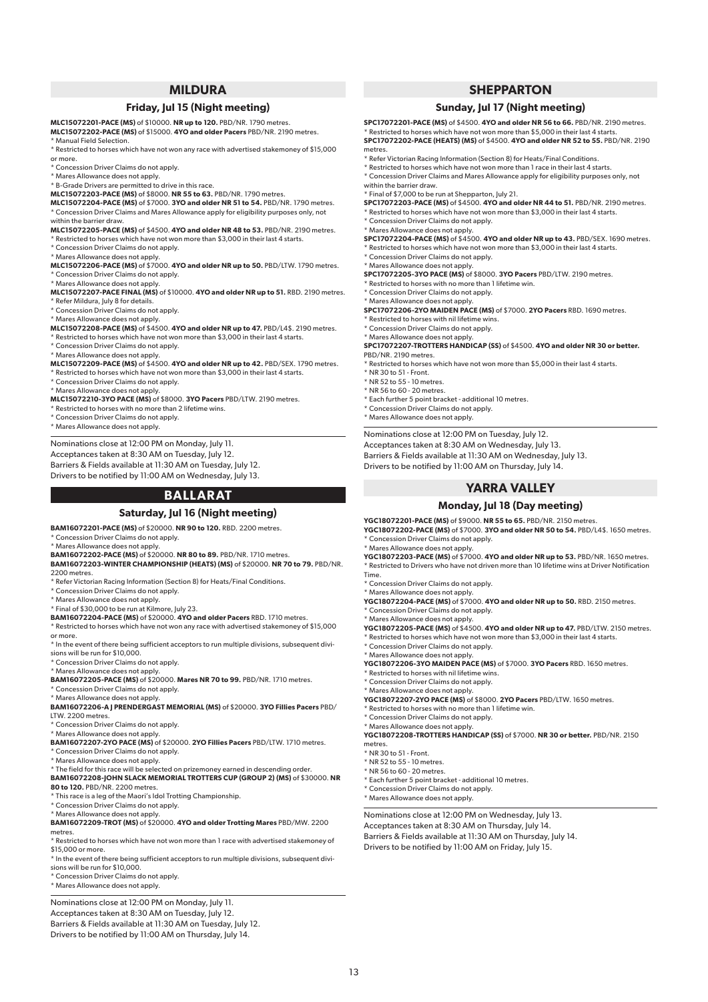## **MILDURA**

#### **Friday, Jul 15 (Night meeting)**

**MLC15072201-PACE (MS)** of \$10000. **NR up to 120.** PBD/NR. 1790 metres. **MLC15072202-PACE (MS)** of \$15000. **4YO and older Pacers** PBD/NR. 2190 metres. \* Manual Field Selection.

- \* Restricted to horses which have not won any race with advertised stakemoney of \$15,000 or more.
- <sup>t</sup> Concession Driver Claims do not apply.
- \* Mares Allowance does not apply.
- \* B-Grade Drivers are permitted to drive in this race.
- **MLC15072203-PACE (MS)** of \$8000. **NR 55 to 63.** PBD/NR. 1790 metres.

**MLC15072204-PACE (MS)** of \$7000. **3YO and older NR 51 to 54.** PBD/NR. 1790 metres. \* Concession Driver Claims and Mares Allowance apply for eligibility purposes only, not within the barrier draw.

**MLC15072205-PACE (MS)** of \$4500. **4YO and older NR 48 to 53.** PBD/NR. 2190 metres.

\* Restricted to horses which have not won more than \$3,000 in their last 4 starts. \* Concession Driver Claims do not apply.

\* Mares Allowance does not apply.

**MLC15072206-PACE (MS)** of \$7000. **4YO and older NR up to 50.** PBD/LTW. 1790 metres. Concession Driver Claims do not apply.

- \* Mares Allowance does not apply.
- **MLC15072207-PACE FINAL (MS)** of \$10000. **4YO and older NR up to 51.** RBD. 2190 metres. \* Refer Mildura, July 8 for details.
- \* Concession Driver Claims do not apply.

\* Mares Allowance does not apply. **MLC15072208-PACE (MS)** of \$4500. **4YO and older NR up to 47.** PBD/L4\$. 2190 metres.  $^{\star}$  Restricted to horses which have not won more than  $\$3,000$  in their last 4 starts.

\* Concession Driver Claims do not apply.

\* Mares Allowance does not apply.

**MLC15072209-PACE (MS)** of \$4500. **4YO and older NR up to 42.** PBD/SEX. 1790 metres. \* Restricted to horses which have not won more than \$3,000 in their last 4 starts.

\* Concession Driver Claims do not apply.

\* Mares Allowance does not apply.

**MLC15072210-3YO PACE (MS)** of \$8000. **3YO Pacers** PBD/LTW. 2190 metres.

\* Restricted to horses with no more than 2 lifetime wins.

\* Concession Driver Claims do not apply.

\* Mares Allowance does not apply.

Nominations close at 12:00 PM on Monday, July 11.

Acceptances taken at 8:30 AM on Tuesday, July 12.

Barriers & Fields available at 11:30 AM on Tuesday, July 12. Drivers to be notified by 11:00 AM on Wednesday, July 13.

## **BALLARAT**

## **Saturday, Jul 16 (Night meeting)**

**BAM16072201-PACE (MS)** of \$20000. **NR 90 to 120.** RBD. 2200 metres.

\* Concession Driver Claims do not apply.

\* Mares Allowance does not apply. **BAM16072202-PACE (MS)** of \$20000. **NR 80 to 89.** PBD/NR. 1710 metres.

**BAM16072203-WINTER CHAMPIONSHIP (HEATS) (MS)** of \$20000. **NR 70 to 79.** PBD/NR. 2200 metres.

 $\overline{\phantom{a}}$  Refer Victorian Racing Information (Section 8) for Heats/Final Conditions.

\* Concession Driver Claims do not apply.

\* Mares Allowance does not apply.

\* Final of \$30,000 to be run at Kilmore, July 23.

**BAM16072204-PACE (MS)** of \$20000. **4YO and older Pacers** RBD. 1710 metres. \* Restricted to horses which have not won any race with advertised stakemoney of \$15,000

or more.

\* In the event of there being sufficient acceptors to run multiple divisions, subsequent divisions will be run for \$10,000.

\* Concession Driver Claims do not apply.

\* Mares Allowance does not apply.

**BAM16072205-PACE (MS)** of \$20000. **Mares NR 70 to 99.** PBD/NR. 1710 metres. <sup>\*</sup> Concession Driver Claims do not apply.

\* Mares Allowance does not apply.

**BAM16072206-A J PRENDERGAST MEMORIAL (MS)** of \$20000. **3YO Fillies Pacers** PBD/ LTW. 2200 metres.

\* Concession Driver Claims do not apply.

\* Mares Allowance does not apply. **BAM16072207-2YO PACE (MS)** of \$20000. **2YO Fillies Pacers** PBD/LTW. 1710 metres. \* Concession Driver Claims do not apply.

\* Mares Allowance does not apply.

\* The field for this race will be selected on prizemoney earned in descending order.

**BAM16072208-JOHN SLACK MEMORIAL TROTTERS CUP (GROUP 2) (MS)** of \$30000. **NR 80 to 120.** PBD/NR. 2200 metres.

\* This race is a leg of the Maori's Idol Trotting Championship.

\* Concession Driver Claims do not apply.

\* Mares Allowance does not apply. **BAM16072209-TROT (MS)** of \$20000. **4YO and older Trotting Mares** PBD/MW. 2200 metres.

\* Restricted to horses which have not won more than 1 race with advertised stakemoney of \$15,000 or more.

\* In the event of there being sufficient acceptors to run multiple divisions, subsequent divisions will be run for \$10,000.

\* Concession Driver Claims do not apply.

\* Mares Allowance does not apply.

Nominations close at 12:00 PM on Monday, July 11.

Acceptances taken at 8:30 AM on Tuesday, July 12.

Barriers & Fields available at 11:30 AM on Tuesday, July 12.

Drivers to be notified by 11:00 AM on Thursday, July 14.

## **SHEPPARTON**

## **Sunday, Jul 17 (Night meeting)**

**SPC17072201-PACE (MS)** of \$4500. **4YO and older NR 56 to 66.** PBD/NR. 2190 metres. \* Restricted to horses which have not won more than \$5,000 in their last 4 starts. **SPC17072202-PACE (HEATS) (MS)** of \$4500. **4YO and older NR 52 to 55.** PBD/NR. 2190 metres.

\* Refer Victorian Racing Information (Section 8) for Heats/Final Conditions.

\* Restricted to horses which have not won more than 1 race in their last 4 starts. \* Concession Driver Claims and Mares Allowance apply for eligibility purposes only, not within the barrier draw.

\* Final of \$7,000 to be run at Shepparton, July 21.

**SPC17072203-PACE (MS)** of \$4500. **4YO and older NR 44 to 51.** PBD/NR. 2190 metres.

\* Restricted to horses which have not won more than \$3,000 in their last 4 starts. \* Concession Driver Claims do not apply.

\* Mares Allowance does not apply.

**SPC17072204-PACE (MS)** of \$4500. **4YO and older NR up to 43.** PBD/SEX. 1690 metres.  $^{\circ}$  Restricted to horses which have not won more than \$3,000 in their last 4 starts.

\* Concession Driver Claims do not apply.

\* Mares Allowance does not apply. **SPC17072205-3YO PACE (MS)** of \$8000. **3YO Pacers** PBD/LTW. 2190 metres.

\* Restricted to horses with no more than 1 lifetime win.

\* Concession Driver Claims do not apply. \* Mares Allowance does not apply.

**SPC17072206-2YO MAIDEN PACE (MS)** of \$7000. **2YO Pacers** RBD. 1690 metres.

\* Restricted to horses with nil lifetime wins.

\* Concession Driver Claims do not apply.

\* Mares Allowance does not apply.

**SPC17072207-TROTTERS HANDICAP (SS)** of \$4500. **4YO and older NR 30 or better.** PBD/NR. 2190 metres.

 $^{\star}$  Restricted to horses which have not won more than \$5,000 in their last 4 starts. \* NR 30 to 51 - Front.

\* NR 52 to 55 - 10 metres.

\* NR 56 to 60 - 20 metres.

13

\* Each further 5 point bracket - additional 10 metres.

\* Concession Driver Claims do not apply.

\* Mares Allowance does not apply.

\* Mares Allowance does not apply.

\* Concession Driver Claims do not apply. \* Mares Allowance does not apply.

\* Concession Driver Claims do not apply. \* Mares Allowance does not apply.

\* Concession Driver Claims do not apply. \* Mares Allowance does not apply.

\* Restricted to horses with nil lifetime wins. \* Concession Driver Claims do not apply.

\* Concession Driver Claims do not apply. \* Mares Allowance does not apply.

metres. \* NR 30 to 51 - Front. \* NR 52 to 55 - 10 metres. \* NR 56 to 60 - 20 metres.

\* Restricted to horses with no more than 1 lifetime win.

\* Each further 5 point bracket - additional 10 metres. \* Concession Driver Claims do not apply. \* Mares Allowance does not apply.

Nominations close at 12:00 PM on Wednesday, July 13. Acceptances taken at 8:30 AM on Thursday, July 14. Barriers & Fields available at 11:30 AM on Thursday, July 14. Drivers to be notified by 11:00 AM on Friday, July 15.

Time.

Nominations close at 12:00 PM on Tuesday, July 12.

Acceptances taken at 8:30 AM on Wednesday, July 13.

Barriers & Fields available at 11:30 AM on Wednesday, July 13.

Drivers to be notified by 11:00 AM on Thursday, July 14.

## **YARRA VALLEY**

#### **Monday, Jul 18 (Day meeting)**

**YGC18072201-PACE (MS)** of \$9000. **NR 55 to 65.** PBD/NR. 2150 metres. **YGC18072202-PACE (MS)** of \$7000. **3YO and older NR 50 to 54.** PBD/L4\$. 1650 metres. \* Concession Driver Claims do not apply.

**YGC18072203-PACE (MS)** of \$7000. **4YO and older NR up to 53.** PBD/NR. 1650 metres. \* Restricted to Drivers who have not driven more than 10 lifetime wins at Driver Notification

**YGC18072204-PACE (MS)** of \$7000. **4YO and older NR up to 50.** RBD. 2150 metres.

**YGC18072206-3YO MAIDEN PACE (MS)** of \$7000. **3YO Pacers** RBD. 1650 metres.

**YGC18072208-TROTTERS HANDICAP (SS)** of \$7000. **NR 30 or better.** PBD/NR. 2150

\* Mares Allowance does not apply. **YGC18072207-2YO PACE (MS)** of \$8000. **2YO Pacers** PBD/LTW. 1650 metres.

**YGC18072205-PACE (MS)** of \$4500. **4YO and older NR up to 47.** PBD/LTW. 2150 metres.  $^{\star}$  Restricted to horses which have not won more than \$3,000 in their last 4 starts.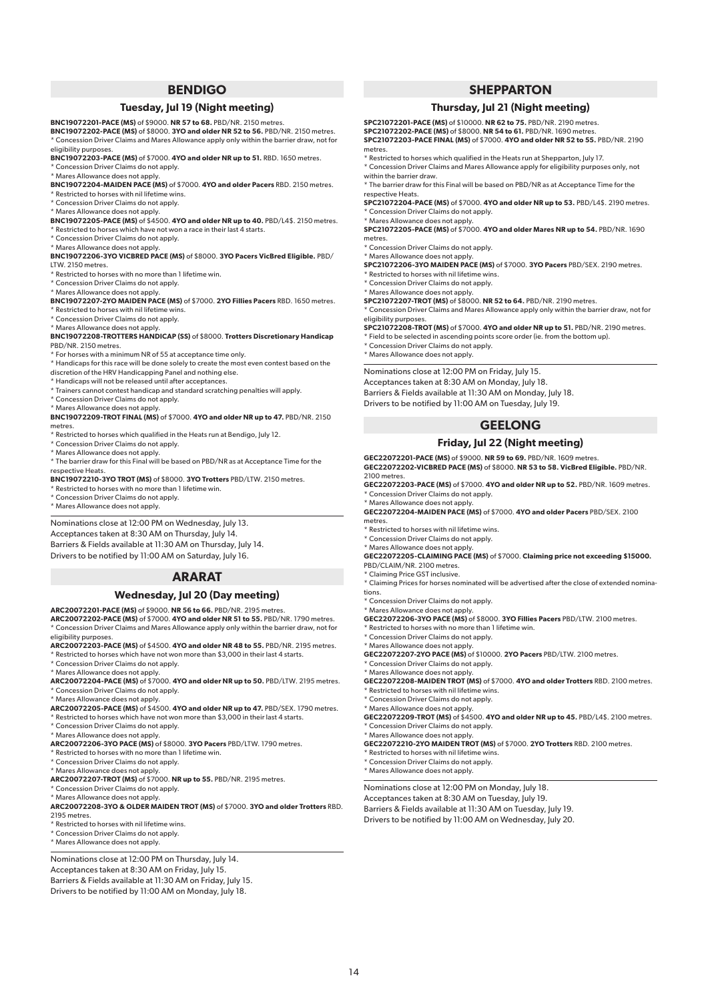## **BENDIGO**

## **Tuesday, Jul 19 (Night meeting)**

**BNC19072201-PACE (MS)** of \$9000. **NR 57 to 68.** PBD/NR. 2150 metres.

**BNC19072202-PACE (MS)** of \$8000. **3YO and older NR 52 to 56.** PBD/NR. 2150 metres. \* Concession Driver Claims and Mares Allowance apply only within the barrier draw, not for eligibility purposes.

**BNC19072203-PACE (MS)** of \$7000. **4YO and older NR up to 51.** RBD. 1650 metres. \* Concession Driver Claims do not apply.

\* Mares Allowance does not apply. **BNC19072204-MAIDEN PACE (MS)** of \$7000. **4YO and older Pacers** RBD. 2150 metres.

- \* Restricted to horses with nil lifetime wins. \* Concession Driver Claims do not apply.
- \* Mares Allowance does not apply.

**BNC19072205-PACE (MS)** of \$4500. **4YO and older NR up to 40.** PBD/L4\$. 2150 metres.

- \* Restricted to horses which have not won a race in their last 4 starts.
- \* Concession Driver Claims do not apply. \* Mares Allowance does not apply.

**BNC19072206-3YO VICBRED PACE (MS)** of \$8000. **3YO Pacers VicBred Eligible.** PBD/ LTW. 2150 metres.

\* Restricted to horses with no more than 1 lifetime win.

\* Concession Driver Claims do not apply.

#### \* Mares Allowance does not apply.

**BNC19072207-2YO MAIDEN PACE (MS)** of \$7000. **2YO Fillies Pacers** RBD. 1650 metres. \* Restricted to horses with nil lifetime wins.

\* Concession Driver Claims do not apply.

\* Mares Allowance does not apply.

#### **BNC19072208-TROTTERS HANDICAP (SS)** of \$8000. **Trotters Discretionary Handicap**  PBD/NR. 2150 metres.

For horses with a minimum NR of 55 at acceptance time only.

\* Handicaps for this race will be done solely to create the most even contest based on the discretion of the HRV Handicapping Panel and nothing else.

- \* Handicaps will not be released until after acceptances.
- \* Trainers cannot contest handicap and standard scratching penalties will apply.
- \* Concession Driver Claims do not apply.

\* Mares Allowance does not apply.

**BNC19072209-TROT FINAL (MS)** of \$7000. **4YO and older NR up to 47.** PBD/NR. 2150 metres.

- .........<br>Festricted to horses which qualified in the Heats run at Bendigo, July 12.
- \* Concession Driver Claims do not apply.
- \* Mares Allowance does not apply.

\* The barrier draw for this Final will be based on PBD/NR as at Acceptance Time for the respective Heats.

**BNC19072210-3YO TROT (MS)** of \$8000. **3YO Trotters** PBD/LTW. 2150 metres.

\* Restricted to horses with no more than 1 lifetime win.

\* Concession Driver Claims do not apply.

\* Mares Allowance does not apply.

Nominations close at 12:00 PM on Wednesday, July 13. Acceptances taken at 8:30 AM on Thursday, July 14. Barriers & Fields available at 11:30 AM on Thursday, July 14. Drivers to be notified by 11:00 AM on Saturday, July 16.

#### **ARARAT**

### **Wednesday, Jul 20 (Day meeting)**

#### **ARC20072201-PACE (MS)** of \$9000. **NR 56 to 66.** PBD/NR. 2195 metres.

**ARC20072202-PACE (MS)** of \$7000. **4YO and older NR 51 to 55.** PBD/NR. 1790 metres. \* Concession Driver Claims and Mares Allowance apply only within the barrier draw, not for eligibility purpose:

**ARC20072203-PACE (MS)** of \$4500. **4YO and older NR 48 to 55.** PBD/NR. 2195 metres.  $^{\kappa}$  Restricted to horses which have not won more than \$3,000 in their last 4 starts.

\* Concession Driver Claims do not apply.

\* Mares Allowance does not apply.

- **ARC20072204-PACE (MS)** of \$7000. **4YO and older NR up to 50.** PBD/LTW. 2195 metres. \* Concession Driver Claims do not apply.
- \* Mares Allowance does not apply.

**ARC20072205-PACE (MS)** of \$4500. **4YO and older NR up to 47.** PBD/SEX. 1790 metres.

\* Restricted to horses which have not won more than \$3,000 in their last 4 starts.

\* Concession Driver Claims do not apply.

\* Mares Allowance does not apply.

**ARC20072206-3YO PACE (MS)** of \$8000. **3YO Pacers** PBD/LTW. 1790 metres. \* Restricted to horses with no more than 1 lifetime win.

- \* Concession Driver Claims do not apply.
- 

\* Mares Allowance does not apply. **ARC20072207-TROT (MS)** of \$7000. **NR up to 55.** PBD/NR. 2195 metres.

\* Concession Driver Claims do not apply.

\* Mares Allowance does not apply.

**ARC20072208-3YO & OLDER MAIDEN TROT (MS)** of \$7000. **3YO and older Trotters** RBD. 2195 metres.

\* Restricted to horses with nil lifetime wins.

\* Concession Driver Claims do not apply.

\* Mares Allowance does not apply.

Nominations close at 12:00 PM on Thursday, July 14. Acceptances taken at 8:30 AM on Friday, July 15. Barriers & Fields available at 11:30 AM on Friday, July 15. Drivers to be notified by 11:00 AM on Monday, July 18.

## **SHEPPARTON**

#### **Thursday, Jul 21 (Night meeting)**

**SPC21072201-PACE (MS)** of \$10000. **NR 62 to 75.** PBD/NR. 2190 metres. **SPC21072202-PACE (MS)** of \$8000. **NR 54 to 61.** PBD/NR. 1690 metres. **SPC21072203-PACE FINAL (MS)** of \$7000. **4YO and older NR 52 to 55.** PBD/NR. 2190 metres.

\* Restricted to horses which qualified in the Heats run at Shepparton, July 17.

\* Concession Driver Claims and Mares Allowance apply for eligibility purposes only, not within the barrier draw.

\* The barrier draw for this Final will be based on PBD/NR as at Acceptance Time for the respective Heats.

**SPC21072204-PACE (MS)** of \$7000. **4YO and older NR up to 53.** PBD/L4\$. 2190 metres. \* Concession Driver Claims do not apply.

\* Mares Allowance does not apply.

**SPC21072205-PACE (MS)** of \$7000. **4YO and older Mares NR up to 54.** PBD/NR. 1690 metres.

Concession Driver Claims do not apply.

\* Mares Allowance does not apply.

**SPC21072206-3YO MAIDEN PACE (MS)** of \$7000. **3YO Pacers** PBD/SEX. 2190 metres.

\* Restricted to horses with nil lifetime wins. \* Concession Driver Claims do not apply.

\* Mares Allowance does not apply.

**SPC21072207-TROT (MS)** of \$8000. **NR 52 to 64.** PBD/NR. 2190 metres. \* Concession Driver Claims and Mares Allowance apply only within the barrier draw, not for eligibility purposes.

**SPC21072208-TROT (MS)** of \$7000. **4YO and older NR up to 51.** PBD/NR. 2190 metres.

\* Field to be selected in ascending points score order (ie. from the bottom up).

\* Concession Driver Claims do not apply. \* Mares Allowance does not apply.

Nominations close at 12:00 PM on Friday, July 15. Acceptances taken at 8:30 AM on Monday, July 18. Barriers & Fields available at 11:30 AM on Monday, July 18. Drivers to be notified by 11:00 AM on Tuesday, July 19.

## **GEELONG**

#### **Friday, Jul 22 (Night meeting)**

**GEC22072201-PACE (MS)** of \$9000. **NR 59 to 69.** PBD/NR. 1609 metres. **GEC22072202-VICBRED PACE (MS)** of \$8000. **NR 53 to 58. VicBred Eligible.** PBD/NR. 2100 metres.

**GEC22072203-PACE (MS)** of \$7000. **4YO and older NR up to 52.** PBD/NR. 1609 metres. \* Concession Driver Claims do not apply.

\* Mares Allowance does not apply. **GEC22072204-MAIDEN PACE (MS)** of \$7000. **4YO and older Pacers** PBD/SEX. 2100 metres.

\* Restricted to horses with nil lifetime wins.

\* Concession Driver Claims do not apply.

\* Mares Allowance does not apply.

**GEC22072205-CLAIMING PACE (MS)** of \$7000. **Claiming price not exceeding \$15000.** PBD/CLAIM/NR. 2100 metres.

Claiming Price GST inclusive.

\* Claiming Prices for horses nominated will be advertised after the close of extended nominations.

\* Concession Driver Claims do not apply.

\* Mares Allowance does not apply. **GEC22072206-3YO PACE (MS)** of \$8000. **3YO Fillies Pacers** PBD/LTW. 2100 metres.

 $*$  Restricted to horses with no more than 1 lifetime win.

\* Concession Driver Claims do not apply.

\* Mares Allowance does not apply. **GEC22072207-2YO PACE (MS)** of \$10000. **2YO Pacers** PBD/LTW. 2100 metres. \* Concession Driver Claims do not apply.

\* Mares Allowance does not apply.

14

**GEC22072208-MAIDEN TROT (MS)** of \$7000. **4YO and older Trotters** RBD. 2100 metres.  $^{\star}$  Restricted to horses with nil lifetime wins.

**GEC22072210-2YO MAIDEN TROT (MS)** of \$7000. **2YO Trotters** RBD. 2100 metres.

\* Concession Driver Claims do not apply.

\* Concession Driver Claims do not apply. \* Mares Allowance does not apply.

\* Restricted to horses with nil lifetime wins. \* Concession Driver Claims do not apply. \* Mares Allowance does not apply.

\* Mares Allowance does not apply. **GEC22072209-TROT (MS)** of \$4500. **4YO and older NR up to 45.** PBD/L4\$. 2100 metres.

Nominations close at 12:00 PM on Monday, July 18. Acceptances taken at 8:30 AM on Tuesday, July 19. Barriers & Fields available at 11:30 AM on Tuesday, July 19. Drivers to be notified by 11:00 AM on Wednesday, July 20.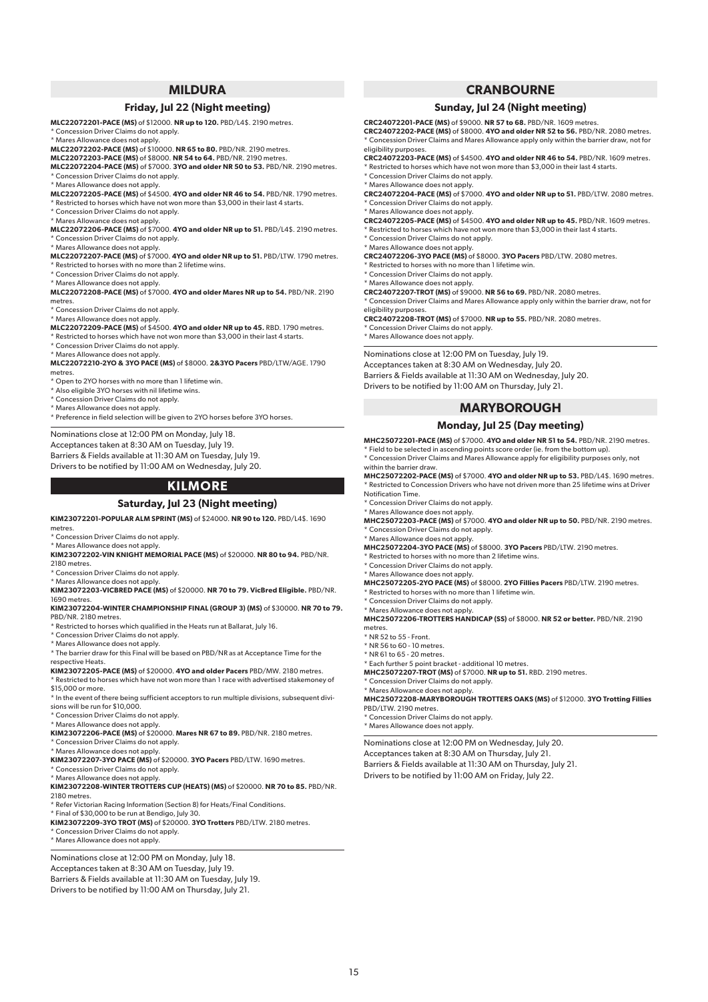## **MILDURA**

## **Friday, Jul 22 (Night meeting)**

**MLC22072201-PACE (MS)** of \$12000. **NR up to 120.** PBD/L4\$. 2190 metres. \* Concession Driver Claims do not apply.

\* Mares Allowance does not apply.

**MLC22072202-PACE (MS)** of \$10000. **NR 65 to 80.** PBD/NR. 2190 metres.

**MLC22072203-PACE (MS)** of \$8000. **NR 54 to 64.** PBD/NR. 2190 metres.

**MLC22072204-PACE (MS)** of \$7000. **3YO and older NR 50 to 53.** PBD/NR. 2190 metres. .......<br>\* Concession Driver Claims do not apply.

\* Mares Allowance does not apply.

**MLC22072205-PACE (MS)** of \$4500. **4YO and older NR 46 to 54.** PBD/NR. 1790 metres. \* Restricted to horses which have not won more than \$3,000 in their last 4 starts.

- \* Concession Driver Claims do not apply.
- \* Mares Allowance does not apply.

**MLC22072206-PACE (MS)** of \$7000. **4YO and older NR up to 51.** PBD/L4\$. 2190 metres. \* Concession Driver Claims do not apply.

\* Mares Allowance does not apply.

**MLC22072207-PACE (MS)** of \$7000. **4YO and older NR up to 51.** PBD/LTW. 1790 metres. \* Restricted to horses with no more than 2 lifetime wins.

\* Concession Driver Claims do not apply.

\* Mares Allowance does not apply.

**MLC22072208-PACE (MS)** of \$7000. **4YO and older Mares NR up to 54.** PBD/NR. 2190 metres.

\* Concession Driver Claims do not apply. \* Mares Allowance does not apply.

**MLC22072209-PACE (MS)** of \$4500. **4YO and older NR up to 45.** RBD. 1790 metres. \* Restricted to horses which have not won more than \$3,000 in their last 4 starts.

\* Concession Driver Claims do not apply.

\* Mares Allowance does not apply.

**MLC22072210-2YO & 3YO PACE (MS)** of \$8000. **2&3YO Pacers** PBD/LTW/AGE. 1790 metres.

\* Open to 2YO horses with no more than 1 lifetime win.

\* Also eligible 3YO horses with nil lifetime wins.

\* Concession Driver Claims do not apply.

\* Mares Allowance does not apply.

\* Preference in field selection will be given to 2YO horses before 3YO horses.

Nominations close at 12:00 PM on Monday, July 18. Acceptances taken at 8:30 AM on Tuesday, July 19. Barriers & Fields available at 11:30 AM on Tuesday, July 19. Drivers to be notified by 11:00 AM on Wednesday, July 20.

## **KILMORE**

#### **Saturday, Jul 23 (Night meeting)**

**KIM23072201-POPULAR ALM SPRINT (MS)** of \$24000. **NR 90 to 120.** PBD/L4\$. 1690

metres.

\* Concession Driver Claims do not apply.

\* Mares Allowance does not apply. **KIM23072202-VIN KNIGHT MEMORIAL PACE (MS)** of \$20000. **NR 80 to 94.** PBD/NR. 2180 metres.

\* Concession Driver Claims do not apply.

\* Mares Allowance does not apply. **KIM23072203-VICBRED PACE (MS)** of \$20000. **NR 70 to 79. VicBred Eligible.** PBD/NR.

1690 metres.

**KIM23072204-WINTER CHAMPIONSHIP FINAL (GROUP 3) (MS)** of \$30000. **NR 70 to 79.** PBD/NR. 2180 metres.

\* Restricted to horses which qualified in the Heats run at Ballarat, July 16.

\* Concession Driver Claims do not apply.

\* Mares Allowance does not apply.

\* The barrier draw for this Final will be based on PBD/NR as at Acceptance Time for the respective Heats.

**KIM23072205-PACE (MS)** of \$20000. **4YO and older Pacers** PBD/MW. 2180 metres. \* Restricted to horses which have not won more than 1 race with advertised stakemoney of

\$15,000 or more.

\* In the event of there being sufficient acceptors to run multiple divisions, subsequent divisions will be run for \$10,000.

\* Concession Driver Claims do not apply.

\* Mares Allowance does not apply.

**KIM23072206-PACE (MS)** of \$20000. **Mares NR 67 to 89.** PBD/NR. 2180 metres.

Concession Driver Claims do not apply.

\* Mares Allowance does not apply.

**KIM23072207-3YO PACE (MS)** of \$20000. **3YO Pacers** PBD/LTW. 1690 metres. \* Concession Driver Claims do not apply.

\* Mares Allowance does not apply.

**KIM23072208-WINTER TROTTERS CUP (HEATS) (MS)** of \$20000. **NR 70 to 85.** PBD/NR. 2180 metres.

\* Refer Victorian Racing Information (Section 8) for Heats/Final Conditions.

\* Final of \$30,000 to be run at Bendigo, July 30. **KIM23072209-3YO TROT (MS)** of \$20000. **3YO Trotters** PBD/LTW. 2180 metres. \* Concession Driver Claims do not apply.

\* Mares Allowance does not apply.

Nominations close at 12:00 PM on Monday, July 18. Acceptances taken at 8:30 AM on Tuesday, July 19. Barriers & Fields available at 11:30 AM on Tuesday, July 19. Drivers to be notified by 11:00 AM on Thursday, July 21.

## **CRANBOURNE**

#### **Sunday, Jul 24 (Night meeting)**

**CRC24072201-PACE (MS)** of \$9000. **NR 57 to 68.** PBD/NR. 1609 metres.

**CRC24072202-PACE (MS)** of \$8000. **4YO and older NR 52 to 56.** PBD/NR. 2080 metres. \* Concession Driver Claims and Mares Allowance apply only within the barrier draw, not for eligibility purposes.

**CRC24072203-PACE (MS)** of \$4500. **4YO and older NR 46 to 54.** PBD/NR. 1609 metres. \* Restricted to horses which have not won more than \$3,000 in their last 4 starts.

\* Concession Driver Claims do not apply.

\* Mares Allowance does not apply.

**CRC24072204-PACE (MS)** of \$7000. **4YO and older NR up to 51.** PBD/LTW. 2080 metres. \* Concession Driver Claims do not apply.

\* Mares Allowance does not apply.

**CRC24072205-PACE (MS)** of \$4500. **4YO and older NR up to 45.** PBD/NR. 1609 metres. \* Restricted to horses which have not won more than \$3,000 in their last 4 starts.

\* Concession Driver Claims do not apply.

\* Mares Allowance does not apply.

**CRC24072206-3YO PACE (MS)** of \$8000. **3YO Pacers** PBD/LTW. 2080 metres.

\* Restricted to horses with no more than 1 lifetime win.

\* Concession Driver Claims do not apply.

\* Mares Allowance does not apply. **CRC24072207-TROT (MS)** of \$9000. **NR 56 to 69.** PBD/NR. 2080 metres. \* Concession Driver Claims and Mares Allowance apply only within the barrier draw, not for eligibility purposes.

**CRC24072208-TROT (MS)** of \$7000. **NR up to 55.** PBD/NR. 2080 metres. Concession Driver Claims do not apply.

\* Mares Allowance does not apply.

Nominations close at 12:00 PM on Tuesday, July 19. Acceptances taken at 8:30 AM on Wednesday, July 20. Barriers & Fields available at 11:30 AM on Wednesday, July 20. Drivers to be notified by 11:00 AM on Thursday, July 21.

## **MARYBOROUGH**

#### **Monday, Jul 25 (Day meeting)**

**MHC25072201-PACE (MS)** of \$7000. **4YO and older NR 51 to 54.** PBD/NR. 2190 metres.

\* Field to be selected in ascending points score order (ie. from the bottom up). \* Concession Driver Claims and Mares Allowance apply for eligibility purposes only, not within the barrier draw

**MHC25072202-PACE (MS)** of \$7000. **4YO and older NR up to 53.** PBD/L4\$. 1690 metres. \* Restricted to Concession Drivers who have not driven more than 25 lifetime wins at Driver Notification Time.

\* Concession Driver Claims do not apply.

\* Mares Allowance does not apply.

**MHC25072203-PACE (MS)** of \$7000. **4YO and older NR up to 50.** PBD/NR. 2190 metres. \* Concession Driver Claims do not apply.

\* Mares Allowance does not apply.

**MHC25072207-TROT (MS)** of \$7000. **NR up to 51.** RBD. 2190 metres.

Nominations close at 12:00 PM on Wednesday, July 20. Acceptances taken at 8:30 AM on Thursday, July 21. Barriers & Fields available at 11:30 AM on Thursday, July 21. Drivers to be notified by 11:00 AM on Friday, July 22.

**MHC25072204-3YO PACE (MS)** of \$8000. **3YO Pacers** PBD/LTW. 2190 metres.

\* Restricted to horses with no more than 2 lifetime wins.

\* Concession Driver Claims do not apply.

\* Mares Allowance does not apply.

**MHC25072205-2YO PACE (MS)** of \$8000. **2YO Fillies Pacers** PBD/LTW. 2190 metres. \* Restricted to horses with no more than 1 lifetime win.

\* Concession Driver Claims do not apply.

\* Concession Driver Claims do not apply.

\* Concession Driver Claims do not apply. \* Mares Allowance does not apply.

\* Mares Allowance does not apply. **MHC25072206-TROTTERS HANDICAP (SS)** of \$8000. **NR 52 or better.** PBD/NR. 2190 metres.

\* Mares Allowance does not apply. **MHC25072208-MARYBOROUGH TROTTERS OAKS (MS)** of \$12000. **3YO Trotting Fillies**

\* NR 52 to 55 - Front.

15

\* NR 56 to 60 - 10 metres.

PBD/LTW. 2190 metres.

\* NR 61 to 65 - 20 metres. \* Each further 5 point bracket - additional 10 metres.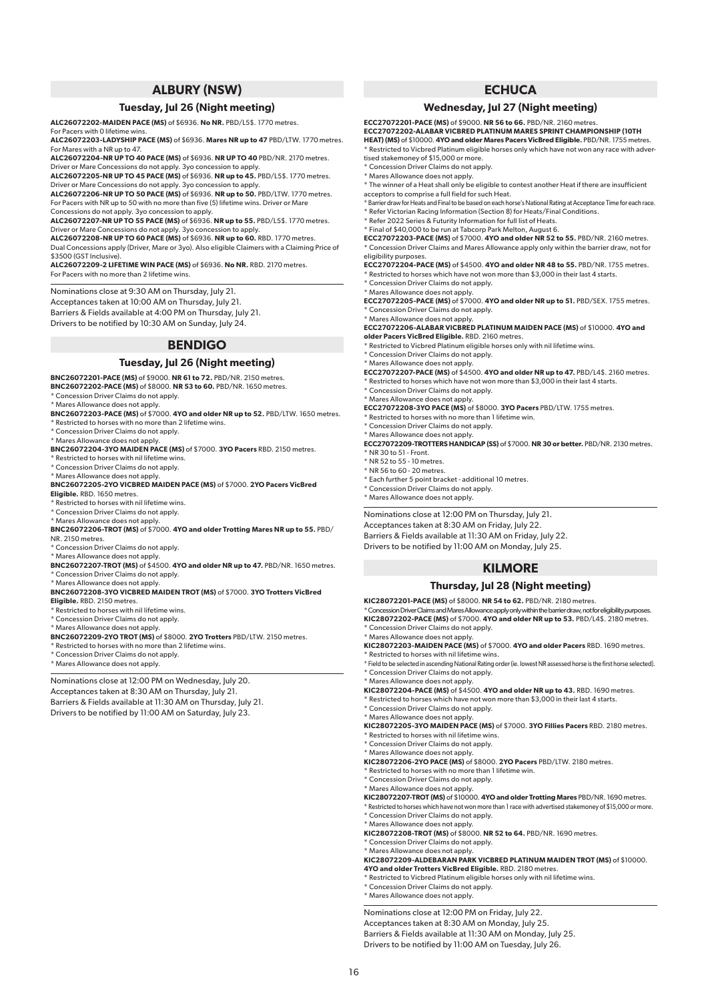## **ALBURY (NSW)**

#### **Tuesday, Jul 26 (Night meeting)**

**ALC26072202-MAIDEN PACE (MS)** of \$6936. **No NR.** PBD/L5\$. 1770 metres.

For Pacers with 0 lifetime win

**ALC26072203-LADYSHIP PACE (MS)** of \$6936. **Mares NR up to 47** PBD/LTW. 1770 metres. For Mares with a NR up to 47.

**ALC26072204-NR UP TO 40 PACE (MS)** of \$6936. **NR UP TO 40** PBD/NR. 2170 metres. Driver or Mare Concessions do not apply. 3yo concession to apply.

**ALC26072205-NR UP TO 45 PACE (MS)** of \$6936. **NR up to 45.** PBD/L5\$. 1770 metres. Driver or Mare Concessions do not apply. 3yo concession to apply.

**ALC26072206-NR UP TO 50 PACE (MS)** of \$6936. **NR up to 50.** PBD/LTW. 1770 metres. For Pacers with NR up to 50 with no more than five (5) lifetime wins. Driver or Mare Concessions do not apply. 3yo concession to apply.

**ALC26072207-NR UP TO 55 PACE (MS)** of \$6936. **NR up to 55.** PBD/L5\$. 1770 metres.

Driver or Mare Concessions do not apply. 3yo concession to apply. **ALC26072208-NR UP TO 60 PACE (MS)** of \$6936. **NR up to 60.** RBD. 1770 metres. Dual Concessions apply (Driver, Mare or 3yo). Also eligible Claimers with a Claiming Price of \$3500 (GST Inclusive).

**ALC26072209-2 LIFETIME WIN PACE (MS)** of \$6936. **No NR.** RBD. 2170 metres. For Pacers with no more than 2 lifetime wins.

Nominations close at 9:30 AM on Thursday, July 21. Acceptances taken at 10:00 AM on Thursday, July 21. Barriers & Fields available at 4:00 PM on Thursday, July 21. Drivers to be notified by 10:30 AM on Sunday, July 24.

## **BENDIGO**

#### **Tuesday, Jul 26 (Night meeting)**

**BNC26072201-PACE (MS)** of \$9000. **NR 61 to 72.** PBD/NR. 2150 metres.

**BNC26072202-PACE (MS)** of \$8000. **NR 53 to 60.** PBD/NR. 1650 metres. \* Concession Driver Claims do not apply.

\* Mares Allowance does not apply.

**BNC26072203-PACE (MS)** of \$7000. **4YO and older NR up to 52.** PBD/LTW. 1650 metres. \* Restricted to horses with no more than 2 lifetime wins.

\* Concession Driver Claims do not apply.

\* Mares Allowance does not apply.

**BNC26072204-3YO MAIDEN PACE (MS)** of \$7000. **3YO Pacers** RBD. 2150 metres.

Restricted to horses with nil lifetime wins.

\* Concession Driver Claims do not apply. \* Mares Allowance does not apply.

**BNC26072205-2YO VICBRED MAIDEN PACE (MS)** of \$7000. **2YO Pacers VicBred Eligible.** RBD. 1650 metres.

\* Restricted to horses with nil lifetime wins.

\* Concession Driver Claims do not apply.

\* Mares Allowance does not apply. **BNC26072206-TROT (MS)** of \$7000. **4YO and older Trotting Mares NR up to 55.** PBD/ NR. 2150 metres.

Concession Driver Claims do not apply.

\* Mares Allowance does not apply. **BNC26072207-TROT (MS)** of \$4500. **4YO and older NR up to 47.** PBD/NR. 1650 metres. Concession Driver Claims do not apply.

\* Mares Allowance does not apply.

#### **BNC26072208-3YO VICBRED MAIDEN TROT (MS)** of \$7000. **3YO Trotters VicBred Eligible.** RBD. 2150 metres.

\* Restricted to horses with nil lifetime wins.

\* Concession Driver Claims do not apply. \* Mares Allowance does not apply.

- 
- **BNC26072209-2YO TROT (MS)** of \$8000. **2YO Trotters** PBD/LTW. 2150 metres. \* Restricted to horses with no more than 2 lifetime wins.
- \* Concession Driver Claims do not apply.
- \* Mares Allowance does not apply.

Nominations close at 12:00 PM on Wednesday, July 20. Acceptances taken at 8:30 AM on Thursday, July 21. Barriers & Fields available at 11:30 AM on Thursday, July 21. Drivers to be notified by 11:00 AM on Saturday, July 23.

## **ECHUCA**

#### **Wednesday, Jul 27 (Night meeting)**

**ECC27072201-PACE (MS)** of \$9000. **NR 56 to 66.** PBD/NR. 2160 metres. **ECC27072202-ALABAR VICBRED PLATINUM MARES SPRINT CHAMPIONSHIP (10TH HEAT) (MS)** of \$10000. **4YO and older Mares Pacers VicBred Eligible.** PBD/NR. 1755 metres.

\* Restricted to Vicbred Platinum eligible horses only which have not won any race with advertised stakemoney of \$15,000 or more. \* Concession Driver Claims do not apply.

\* Mares Allowance does not apply.

\* The winner of a Heat shall only be eligible to contest another Heat if there are insufficient acceptors to comprise a full field for such Heat.

\* Barrier draw for Heats and Final to be based on each horse's National Rating at Acceptance Time for each race. \* Refer Victorian Racing Information (Section 8) for Heats/Final Conditions.

\* Refer 2022 Series & Futurity Information for full list of Heats.

\* Final of \$40,000 to be run at Tabcorp Park Melton, August 6. **ECC27072203-PACE (MS)** of \$7000. **4YO and older NR 52 to 55.** PBD/NR. 2160 metres. \* Concession Driver Claims and Mares Allowance apply only within the barrier draw, not for eligibility purposes.

**ECC27072204-PACE (MS)** of \$4500. **4YO and older NR 48 to 55.** PBD/NR. 1755 metres. Restricted to horses which have not won more than \$3,000 in their last 4 starts.

\* Concession Driver Claims do not apply. \* Mares Allowance does not apply.

**ECC27072205-PACE (MS)** of \$7000. **4YO and older NR up to 51.** PBD/SEX. 1755 metres. \* Concession Driver Claims do not apply.

\* Mares Allowance does not apply.

**ECC27072206-ALABAR VICBRED PLATINUM MAIDEN PACE (MS)** of \$10000. **4YO and older Pacers VicBred Eligible.** RBD. 2160 metres.

\* Restricted to Vicbred Platinum eligible horses only with nil lifetime wins.

\* Concession Driver Claims do not apply.

\* Mares Allowance does not apply. **ECC27072207-PACE (MS)** of \$4500. **4YO and older NR up to 47.** PBD/L4\$. 2160 metres. Restricted to horses which have not won more than \$3,000 in their last 4 starts.

\* Concession Driver Claims do not apply.

\* Mares Allowance does not apply. **ECC27072208-3YO PACE (MS)** of \$8000. **3YO Pacers** PBD/LTW. 1755 metres.

\* Restricted to horses with no more than 1 lifetime win.

\* Concession Driver Claims do not apply.

\* Mares Allowance does not apply.

**ECC27072209-TROTTERS HANDICAP (SS)** of \$7000. **NR 30 or better.** PBD/NR. 2130 metres.  $*$  NR 30 to 51 - Front.

- \* NR 52 to 55 10 metres.
- \* NR 56 to 60 20 metres.
- \* Each further 5 point bracket additional 10 metres. \* Concession Driver Claims do not apply.

\* Mares Allowance does not apply.

Nominations close at 12:00 PM on Thursday, July 21. Acceptances taken at 8:30 AM on Friday, July 22. Barriers & Fields available at 11:30 AM on Friday, July 22. Drivers to be notified by 11:00 AM on Monday, July 25.

## **KILMORE**

## **Thursday, Jul 28 (Night meeting)**

**KIC28072201-PACE (MS)** of \$8000. **NR 54 to 62.** PBD/NR. 2180 metres. \* Concession Driver Claims and Mares Allowance apply only within the barrier draw, not for eligibility purposes. **KIC28072202-PACE (MS)** of \$7000. **4YO and older NR up to 53.** PBD/L4\$. 2180 metres.

Concession Driver Claims do not apply.

\* Mares Allowance does not apply. **KIC28072203-MAIDEN PACE (MS)** of \$7000. **4YO and older Pacers** RBD. 1690 metres. \* Restricted to horses with nil lifetime wins.

\* Field to be selected in ascending National Rating order (ie. lowest NR assessed horse is the first horse selected). \* Concession Driver Claims do not apply.

\* Mares Allowance does not apply.

**KIC28072204-PACE (MS)** of \$4500. **4YO and older NR up to 43.** RBD. 1690 metres.

\* Restricted to horses which have not won more than \$3,000 in their last 4 starts.

\* Concession Driver Claims do not apply.

\* Mares Allowance does not apply. **KIC28072205-3YO MAIDEN PACE (MS)** of \$7000. **3YO Fillies Pacers** RBD. 2180 metres.

- \* Restricted to horses with nil lifetime wins.
- \* Concession Driver Claims do not apply.
- \* Mares Allowance does not apply.
- **KIC28072206-2YO PACE (MS)** of \$8000. **2YO Pacers** PBD/LTW. 2180 metres.
- $^{\star}$  Restricted to horses with no more than 1 lifetime win.
- \* Concession Driver Claims do not apply. \* Mares Allowance does not apply.

**KIC28072207-TROT (MS)** of \$10000. **4YO and older Trotting Mares** PBD/NR. 1690 metres.

\* Restricted to horses which have not won more than 1 race with advertised stakemoney of \$15,000 or more. \* Concession Driver Claims do not apply.

- 
- \* Mares Allowance does not apply. **KIC28072208-TROT (MS)** of \$8000. **NR 52 to 64.** PBD/NR. 1690 metres.
- \* Concession Driver Claims do not apply.
- \* Mares Allowance does not apply.

**KIC28072209-ALDEBARAN PARK VICBRED PLATINUM MAIDEN TROT (MS)** of \$10000. **4YO and older Trotters VicBred Eligible.** RBD. 2180 metres.

\* Restricted to Vicbred Platinum eligible horses only with nil lifetime wins.

\* Concession Driver Claims do not apply.

16

\* Mares Allowance does not apply.

Nominations close at 12:00 PM on Friday, July 22.

Acceptances taken at 8:30 AM on Monday, July 25. Barriers & Fields available at 11:30 AM on Monday, July 25.

Drivers to be notified by 11:00 AM on Tuesday, July 26.